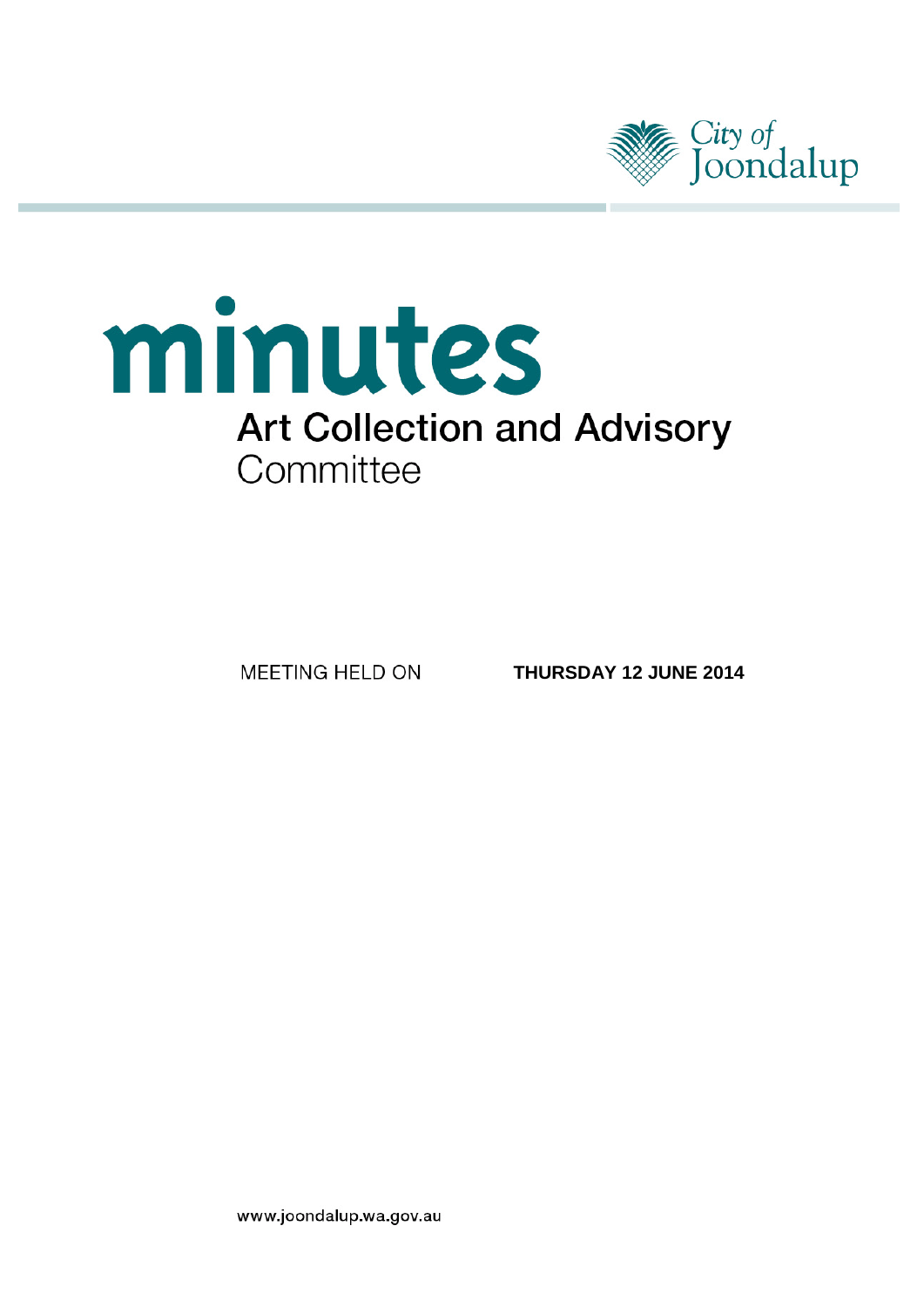

# minutes **Art Collection and Advisory** Committee

MEETING HELD ON

**THURSDAY 12 JUNE 2014**

www.joondalup.wa.gov.au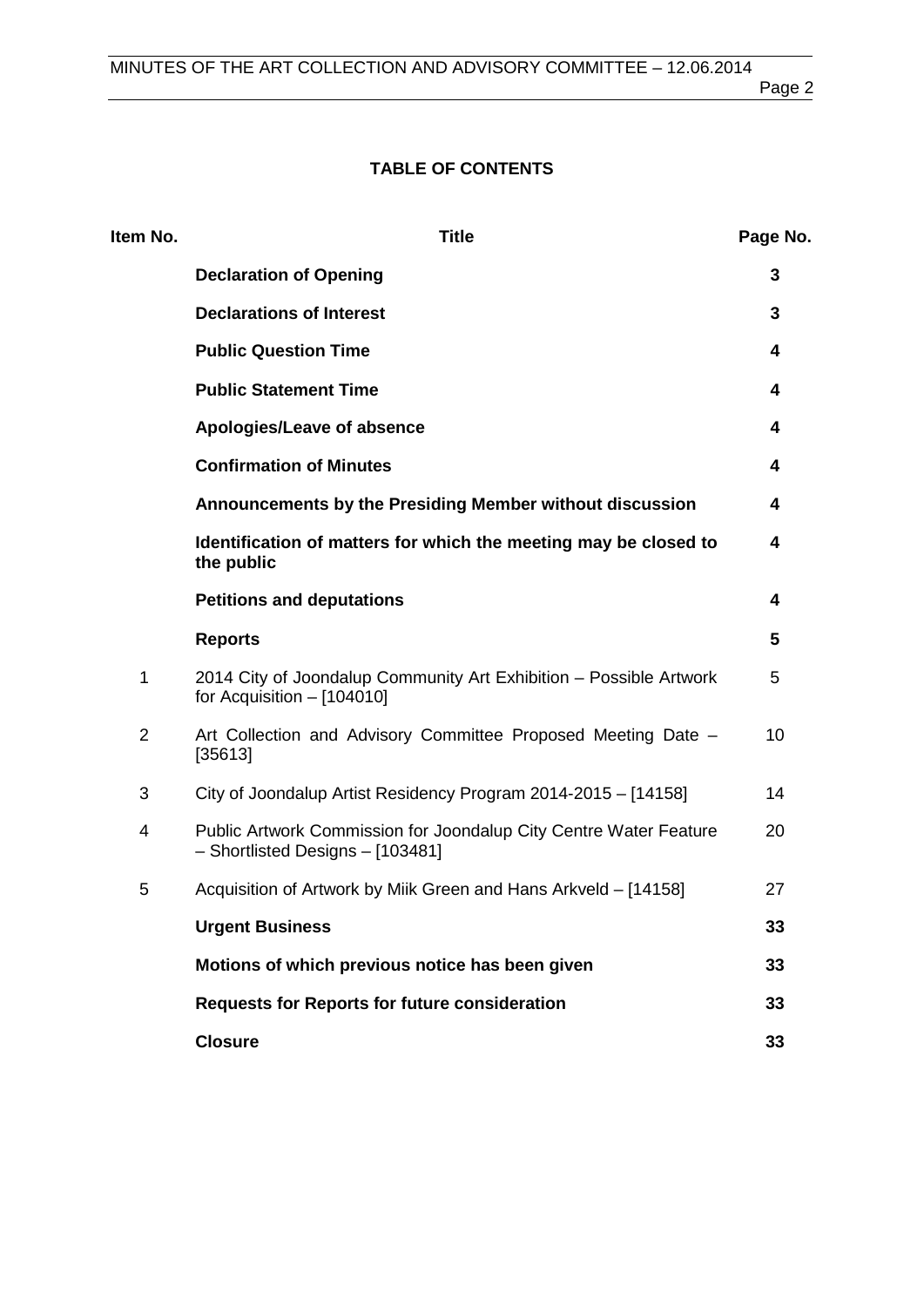# **TABLE OF CONTENTS**

| Item No.       | <b>Title</b>                                                                                          | Page No. |
|----------------|-------------------------------------------------------------------------------------------------------|----------|
|                | <b>Declaration of Opening</b>                                                                         | 3        |
|                | <b>Declarations of Interest</b>                                                                       | 3        |
|                | <b>Public Question Time</b>                                                                           | 4        |
|                | <b>Public Statement Time</b>                                                                          | 4        |
|                | Apologies/Leave of absence                                                                            | 4        |
|                | <b>Confirmation of Minutes</b>                                                                        | 4        |
|                | Announcements by the Presiding Member without discussion                                              | 4        |
|                | Identification of matters for which the meeting may be closed to<br>the public                        | 4        |
|                | <b>Petitions and deputations</b>                                                                      | 4        |
|                | <b>Reports</b>                                                                                        | 5        |
| 1              | 2014 City of Joondalup Community Art Exhibition - Possible Artwork<br>for Acquisition $-$ [104010]    | 5        |
| $\overline{2}$ | Art Collection and Advisory Committee Proposed Meeting Date -<br>[35613]                              | 10       |
| 3              | City of Joondalup Artist Residency Program 2014-2015 - [14158]                                        | 14       |
| 4              | Public Artwork Commission for Joondalup City Centre Water Feature<br>- Shortlisted Designs - [103481] | 20       |
| 5              | Acquisition of Artwork by Milk Green and Hans Arkveld – [14158]                                       | 27       |
|                | <b>Urgent Business</b>                                                                                | 33       |
|                | Motions of which previous notice has been given                                                       | 33       |
|                | <b>Requests for Reports for future consideration</b>                                                  | 33       |
|                | <b>Closure</b>                                                                                        | 33       |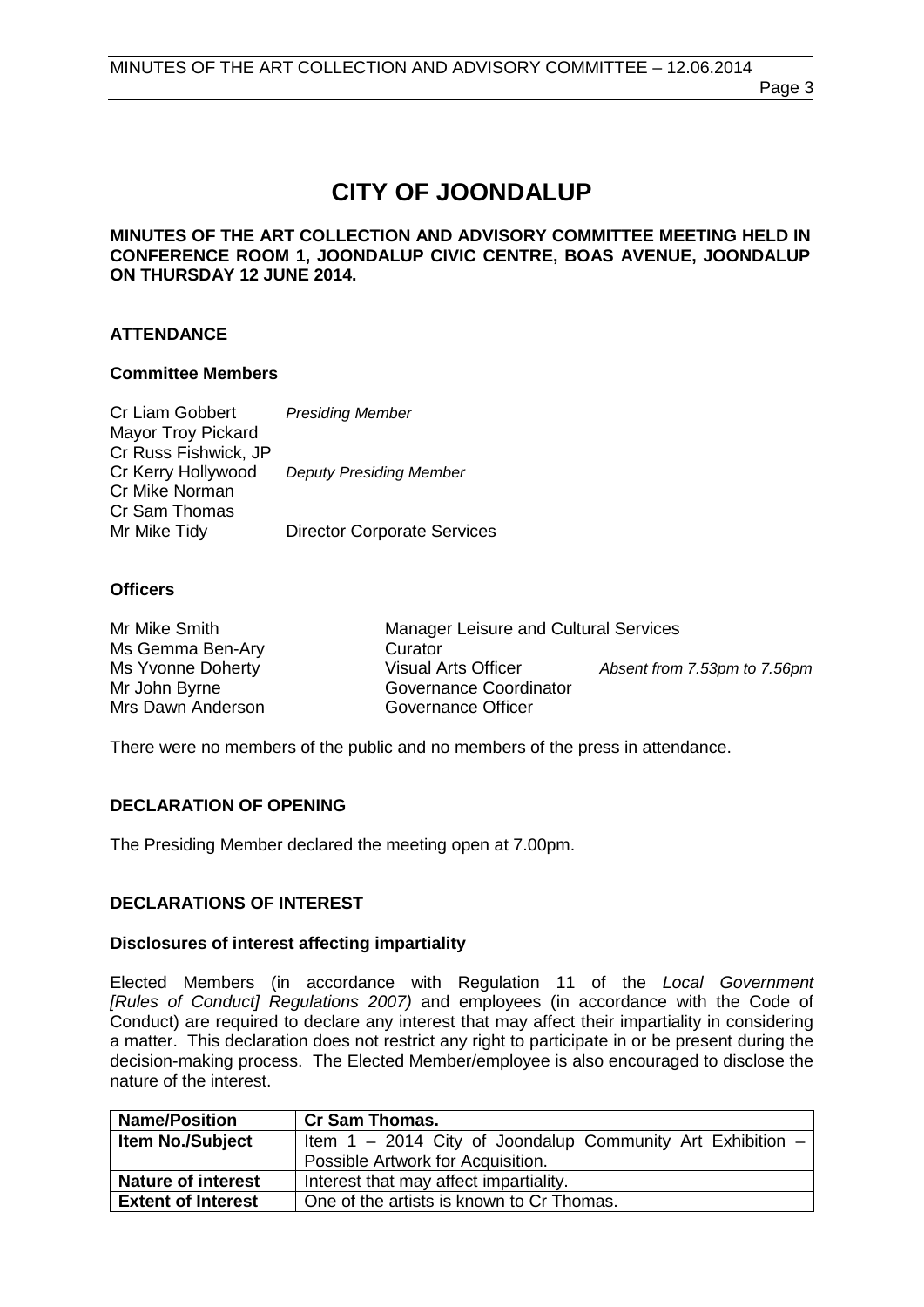# **CITY OF JOONDALUP**

#### **MINUTES OF THE ART COLLECTION AND ADVISORY COMMITTEE MEETING HELD IN CONFERENCE ROOM 1, JOONDALUP CIVIC CENTRE, BOAS AVENUE, JOONDALUP ON THURSDAY 12 JUNE 2014.**

#### **ATTENDANCE**

#### **Committee Members**

| <b>Presiding Member</b>            |
|------------------------------------|
|                                    |
|                                    |
| <b>Deputy Presiding Member</b>     |
|                                    |
|                                    |
| <b>Director Corporate Services</b> |
|                                    |

#### **Officers**

| Mr Mike Smith     | Manager Leisure and Cultural Services |                              |
|-------------------|---------------------------------------|------------------------------|
| Ms Gemma Ben-Ary  | Curator                               |                              |
| Ms Yvonne Doherty | <b>Visual Arts Officer</b>            | Absent from 7.53pm to 7.56pm |
| Mr John Byrne     | Governance Coordinator                |                              |
| Mrs Dawn Anderson | Governance Officer                    |                              |

There were no members of the public and no members of the press in attendance.

#### <span id="page-2-0"></span>**DECLARATION OF OPENING**

The Presiding Member declared the meeting open at 7.00pm.

#### <span id="page-2-1"></span>**DECLARATIONS OF INTEREST**

#### **Disclosures of interest affecting impartiality**

Elected Members (in accordance with Regulation 11 of the *Local Government [Rules of Conduct] Regulations 2007)* and employees (in accordance with the Code of Conduct) are required to declare any interest that may affect their impartiality in considering a matter. This declaration does not restrict any right to participate in or be present during the decision-making process. The Elected Member/employee is also encouraged to disclose the nature of the interest.

| <b>Name/Position</b>      | <b>Cr Sam Thomas.</b>                                          |
|---------------------------|----------------------------------------------------------------|
| <b>Item No./Subject</b>   | Item $1 - 2014$ City of Joondalup Community Art Exhibition $-$ |
|                           | Possible Artwork for Acquisition.                              |
| <b>Nature of interest</b> | Interest that may affect impartiality.                         |
| <b>Extent of Interest</b> | One of the artists is known to Cr Thomas.                      |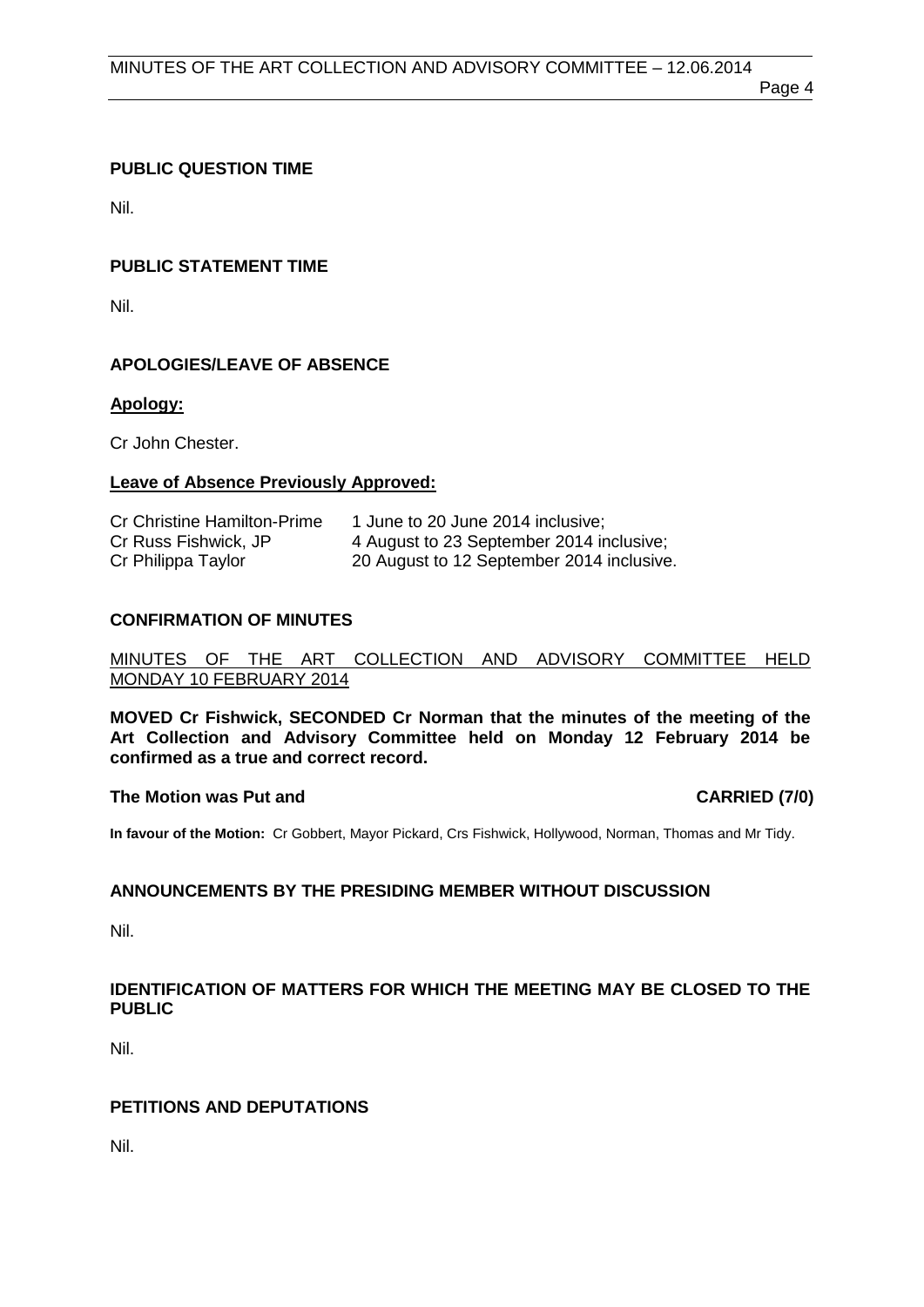Page 4

# <span id="page-3-0"></span>**PUBLIC QUESTION TIME**

Nil.

# <span id="page-3-1"></span>**PUBLIC STATEMENT TIME**

Nil.

## <span id="page-3-2"></span>**APOLOGIES/LEAVE OF ABSENCE**

#### **Apology:**

Cr John Chester.

#### **Leave of Absence Previously Approved:**

| <b>Cr Christine Hamilton-Prime</b> | 1 June to 20 June 2014 inclusive;         |
|------------------------------------|-------------------------------------------|
| Cr Russ Fishwick, JP               | 4 August to 23 September 2014 inclusive;  |
| Cr Philippa Taylor                 | 20 August to 12 September 2014 inclusive. |

#### <span id="page-3-3"></span>**CONFIRMATION OF MINUTES**

#### MINUTES OF THE ART COLLECTION AND ADVISORY COMMITTEE HELD MONDAY 10 FEBRUARY 2014

**MOVED Cr Fishwick, SECONDED Cr Norman that the minutes of the meeting of the Art Collection and Advisory Committee held on Monday 12 February 2014 be confirmed as a true and correct record.**

#### **The Motion was Put and CARRIED (7/0)**

**In favour of the Motion:** Cr Gobbert, Mayor Pickard, Crs Fishwick, Hollywood, Norman, Thomas and Mr Tidy.

## <span id="page-3-4"></span>**ANNOUNCEMENTS BY THE PRESIDING MEMBER WITHOUT DISCUSSION**

Nil.

#### <span id="page-3-5"></span>**IDENTIFICATION OF MATTERS FOR WHICH THE MEETING MAY BE CLOSED TO THE PUBLIC**

Nil.

## <span id="page-3-6"></span>**PETITIONS AND DEPUTATIONS**

Nil.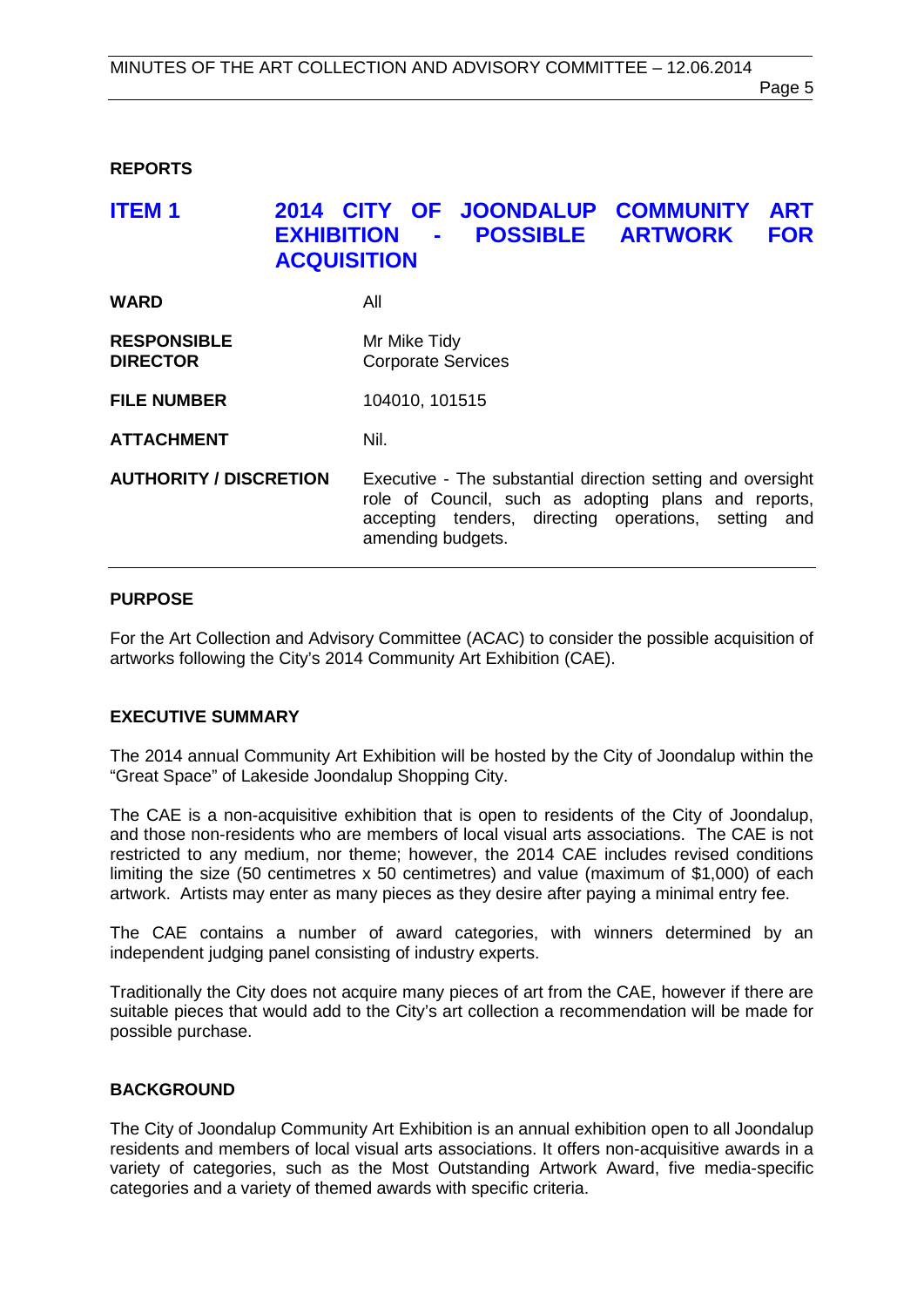#### <span id="page-4-0"></span>**REPORTS**

# <span id="page-4-1"></span>**ITEM 1 2014 CITY OF JOONDALUP COMMUNITY ART EXHIBILE ARTWORK ACQUISITION WARD** All **RESPONSIBLE** Mr Mike Tidy<br> **DIRECTOR** Corporate Se **Corporate Services FILE NUMBER** 104010, 101515 **ATTACHMENT** Nil. **AUTHORITY / DISCRETION** Executive - The substantial direction setting and oversight role of Council, such as adopting plans and reports, accepting tenders, directing operations, setting and

#### **PURPOSE**

For the Art Collection and Advisory Committee (ACAC) to consider the possible acquisition of artworks following the City's 2014 Community Art Exhibition (CAE).

amending budgets.

#### **EXECUTIVE SUMMARY**

The 2014 annual Community Art Exhibition will be hosted by the City of Joondalup within the "Great Space" of Lakeside Joondalup Shopping City.

The CAE is a non-acquisitive exhibition that is open to residents of the City of Joondalup, and those non-residents who are members of local visual arts associations. The CAE is not restricted to any medium, nor theme; however, the 2014 CAE includes revised conditions limiting the size (50 centimetres x 50 centimetres) and value (maximum of \$1,000) of each artwork. Artists may enter as many pieces as they desire after paying a minimal entry fee.

The CAE contains a number of award categories, with winners determined by an independent judging panel consisting of industry experts.

Traditionally the City does not acquire many pieces of art from the CAE, however if there are suitable pieces that would add to the City's art collection a recommendation will be made for possible purchase.

#### **BACKGROUND**

The City of Joondalup Community Art Exhibition is an annual exhibition open to all Joondalup residents and members of local visual arts associations. It offers non-acquisitive awards in a variety of categories, such as the Most Outstanding Artwork Award, five media-specific categories and a variety of themed awards with specific criteria.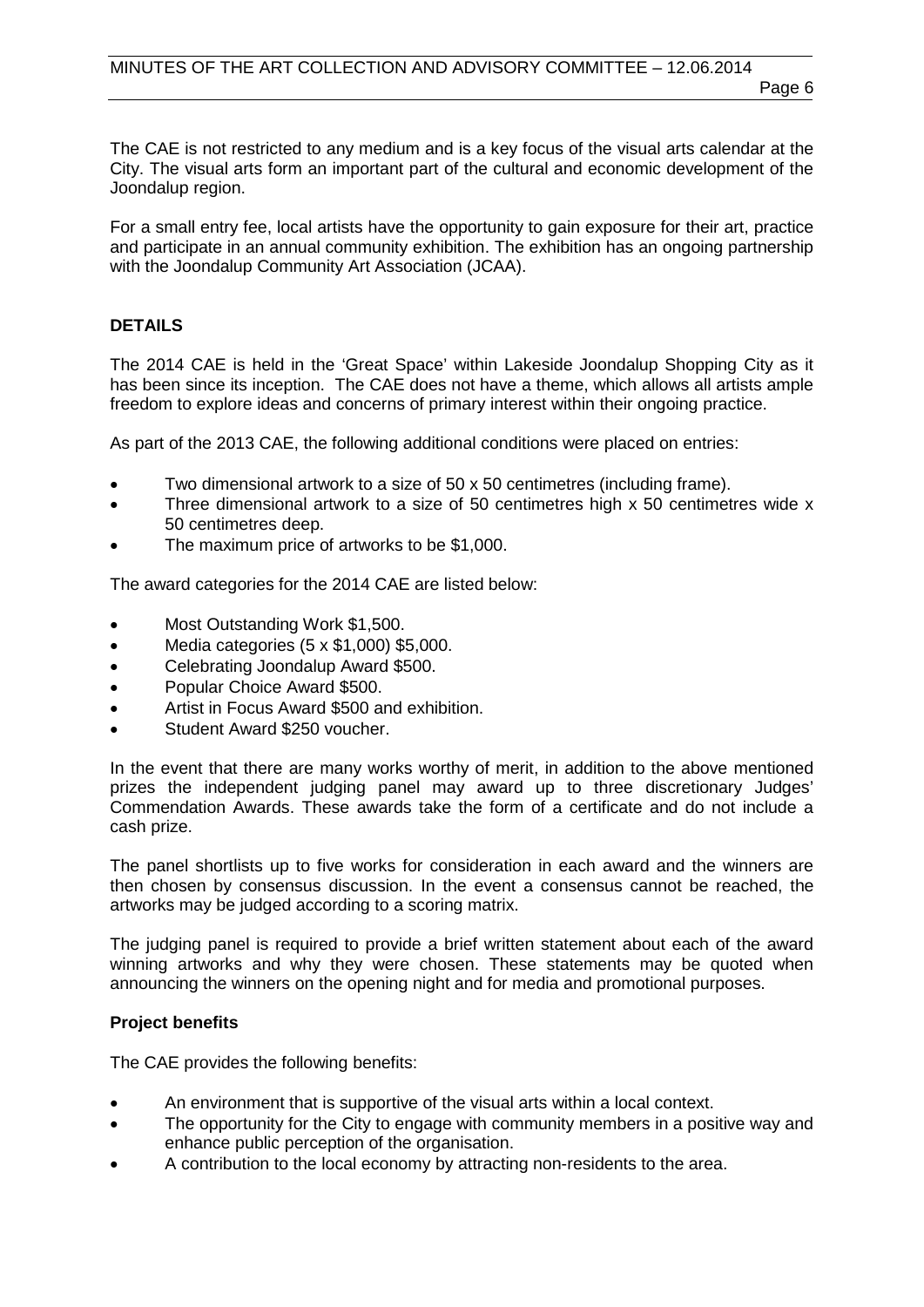The CAE is not restricted to any medium and is a key focus of the visual arts calendar at the City. The visual arts form an important part of the cultural and economic development of the Joondalup region.

For a small entry fee, local artists have the opportunity to gain exposure for their art, practice and participate in an annual community exhibition. The exhibition has an ongoing partnership with the Joondalup Community Art Association (JCAA).

#### **DETAILS**

The 2014 CAE is held in the 'Great Space' within Lakeside Joondalup Shopping City as it has been since its inception. The CAE does not have a theme, which allows all artists ample freedom to explore ideas and concerns of primary interest within their ongoing practice.

As part of the 2013 CAE, the following additional conditions were placed on entries:

- Two dimensional artwork to a size of 50 x 50 centimetres (including frame).
- Three dimensional artwork to a size of 50 centimetres high  $x$  50 centimetres wide  $x$ 50 centimetres deep.
- The maximum price of artworks to be \$1,000.

The award categories for the 2014 CAE are listed below:

- Most Outstanding Work \$1,500.
- Media categories (5 x \$1,000) \$5,000.
- Celebrating Joondalup Award \$500.
- Popular Choice Award \$500.
- Artist in Focus Award \$500 and exhibition.
- Student Award \$250 voucher.

In the event that there are many works worthy of merit, in addition to the above mentioned prizes the independent judging panel may award up to three discretionary Judges' Commendation Awards. These awards take the form of a certificate and do not include a cash prize.

The panel shortlists up to five works for consideration in each award and the winners are then chosen by consensus discussion. In the event a consensus cannot be reached, the artworks may be judged according to a scoring matrix.

The judging panel is required to provide a brief written statement about each of the award winning artworks and why they were chosen. These statements may be quoted when announcing the winners on the opening night and for media and promotional purposes.

#### **Project benefits**

The CAE provides the following benefits:

- An environment that is supportive of the visual arts within a local context.
- The opportunity for the City to engage with community members in a positive way and enhance public perception of the organisation.
- A contribution to the local economy by attracting non-residents to the area.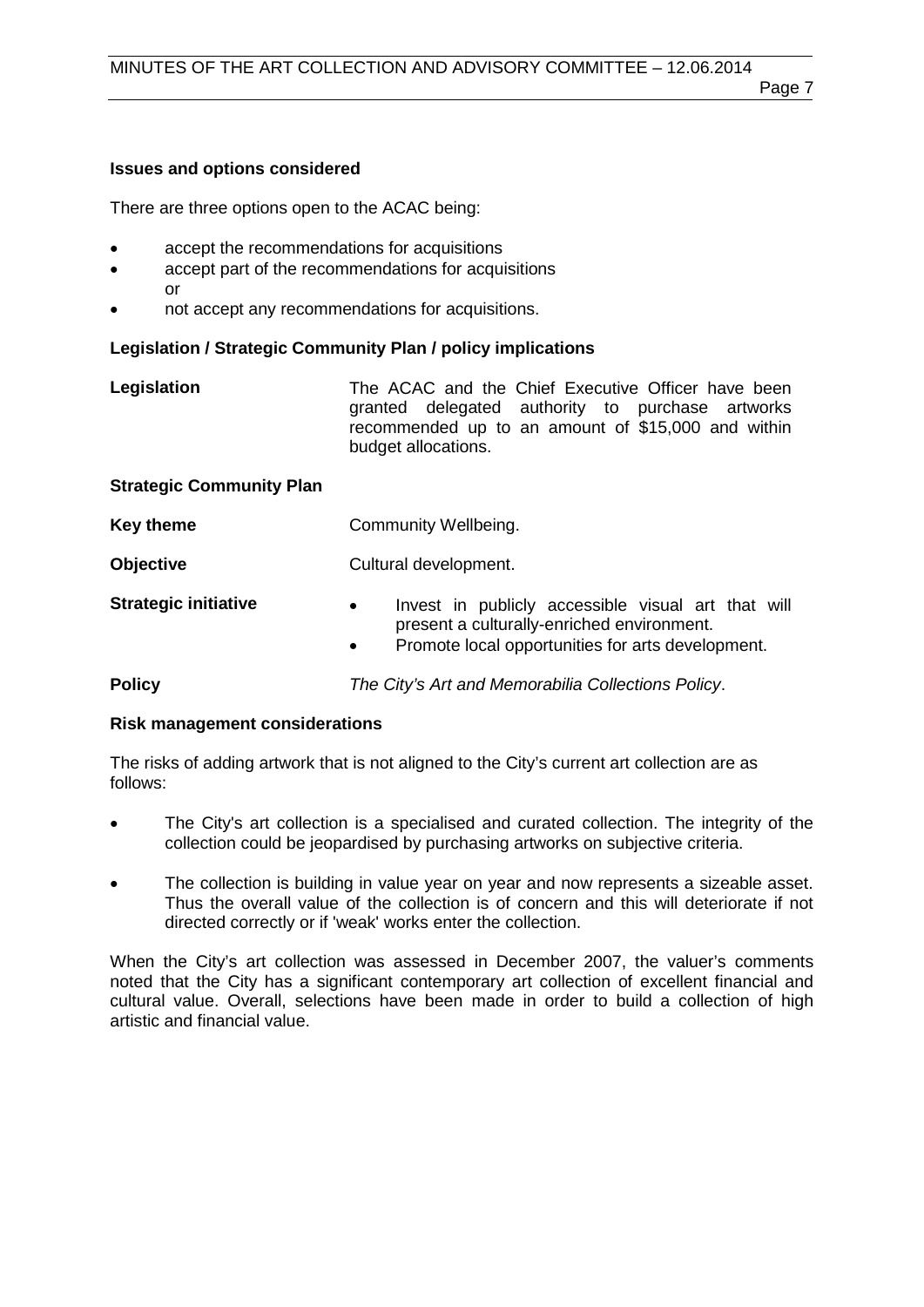#### Page 7

# **Issues and options considered**

There are three options open to the ACAC being:

- accept the recommendations for acquisitions
- accept part of the recommendations for acquisitions or
- not accept any recommendations for acquisitions.

# **Legislation / Strategic Community Plan / policy implications**

| Legislation                     | The ACAC and the Chief Executive Officer have been<br>granted delegated authority to purchase artworks<br>recommended up to an amount of \$15,000 and within<br>budget allocations. |  |
|---------------------------------|-------------------------------------------------------------------------------------------------------------------------------------------------------------------------------------|--|
| <b>Strategic Community Plan</b> |                                                                                                                                                                                     |  |
| <b>Key theme</b>                | Community Wellbeing.                                                                                                                                                                |  |
| <b>Objective</b>                | Cultural development.                                                                                                                                                               |  |
| <b>Strategic initiative</b>     | Invest in publicly accessible visual art that will<br>$\bullet$<br>present a culturally-enriched environment.<br>Promote local opportunities for arts development.<br>$\bullet$     |  |
| <b>Policy</b>                   | The City's Art and Memorabilia Collections Policy.                                                                                                                                  |  |

# **Risk management considerations**

The risks of adding artwork that is not aligned to the City's current art collection are as follows:

- The City's art collection is a specialised and curated collection. The integrity of the collection could be jeopardised by purchasing artworks on subjective criteria.
- The collection is building in value year on year and now represents a sizeable asset. Thus the overall value of the collection is of concern and this will deteriorate if not directed correctly or if 'weak' works enter the collection.

When the City's art collection was assessed in December 2007, the valuer's comments noted that the City has a significant contemporary art collection of excellent financial and cultural value. Overall, selections have been made in order to build a collection of high artistic and financial value.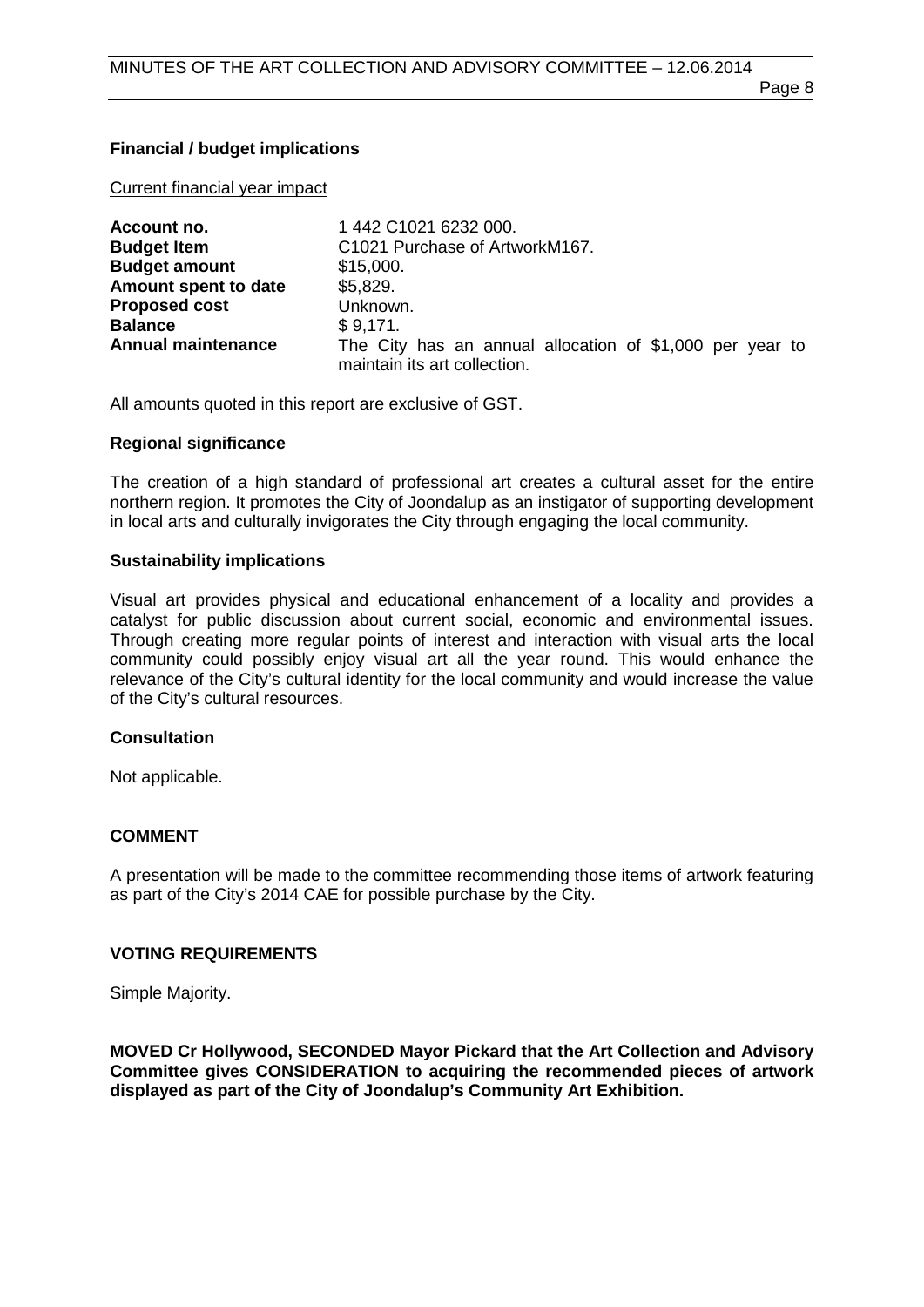Page 8

# **Financial / budget implications**

Current financial year impact

| Account no.               | 1 442 C1021 6232 000.                                                                    |  |  |
|---------------------------|------------------------------------------------------------------------------------------|--|--|
| <b>Budget Item</b>        | C1021 Purchase of ArtworkM167.                                                           |  |  |
| <b>Budget amount</b>      | \$15,000.                                                                                |  |  |
| Amount spent to date      | \$5,829.                                                                                 |  |  |
| <b>Proposed cost</b>      | Unknown.                                                                                 |  |  |
| <b>Balance</b>            | \$9,171.                                                                                 |  |  |
| <b>Annual maintenance</b> | The City has an annual allocation of \$1,000 per year to<br>maintain its art collection. |  |  |

All amounts quoted in this report are exclusive of GST.

#### **Regional significance**

The creation of a high standard of professional art creates a cultural asset for the entire northern region. It promotes the City of Joondalup as an instigator of supporting development in local arts and culturally invigorates the City through engaging the local community.

#### **Sustainability implications**

Visual art provides physical and educational enhancement of a locality and provides a catalyst for public discussion about current social, economic and environmental issues. Through creating more regular points of interest and interaction with visual arts the local community could possibly enjoy visual art all the year round. This would enhance the relevance of the City's cultural identity for the local community and would increase the value of the City's cultural resources.

#### **Consultation**

Not applicable.

#### **COMMENT**

A presentation will be made to the committee recommending those items of artwork featuring as part of the City's 2014 CAE for possible purchase by the City.

#### **VOTING REQUIREMENTS**

Simple Majority.

**MOVED Cr Hollywood, SECONDED Mayor Pickard that the Art Collection and Advisory Committee gives CONSIDERATION to acquiring the recommended pieces of artwork displayed as part of the City of Joondalup's Community Art Exhibition.**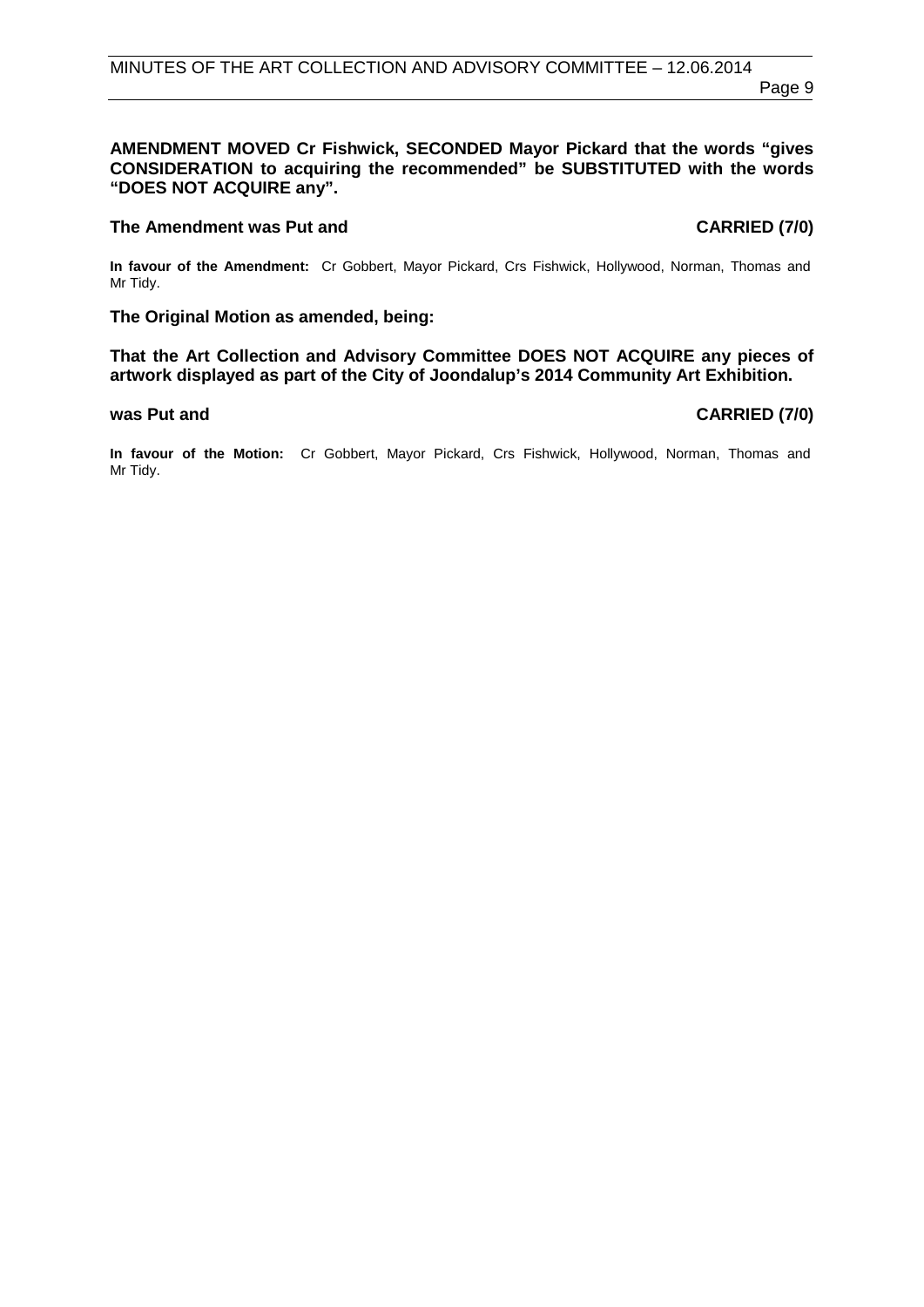#### **AMENDMENT MOVED Cr Fishwick, SECONDED Mayor Pickard that the words "gives CONSIDERATION to acquiring the recommended" be SUBSTITUTED with the words "DOES NOT ACQUIRE any".**

#### **The Amendment was Put and CARRIED (7/0) CARRIED (7/0)**

**In favour of the Amendment:** Cr Gobbert, Mayor Pickard, Crs Fishwick, Hollywood, Norman, Thomas and Mr Tidy.

#### **The Original Motion as amended, being:**

**That the Art Collection and Advisory Committee DOES NOT ACQUIRE any pieces of artwork displayed as part of the City of Joondalup's 2014 Community Art Exhibition.**

<span id="page-8-0"></span>**In favour of the Motion:** Cr Gobbert, Mayor Pickard, Crs Fishwick, Hollywood, Norman, Thomas and Mr Tidy.

#### **was Put and CARRIED (7/0)**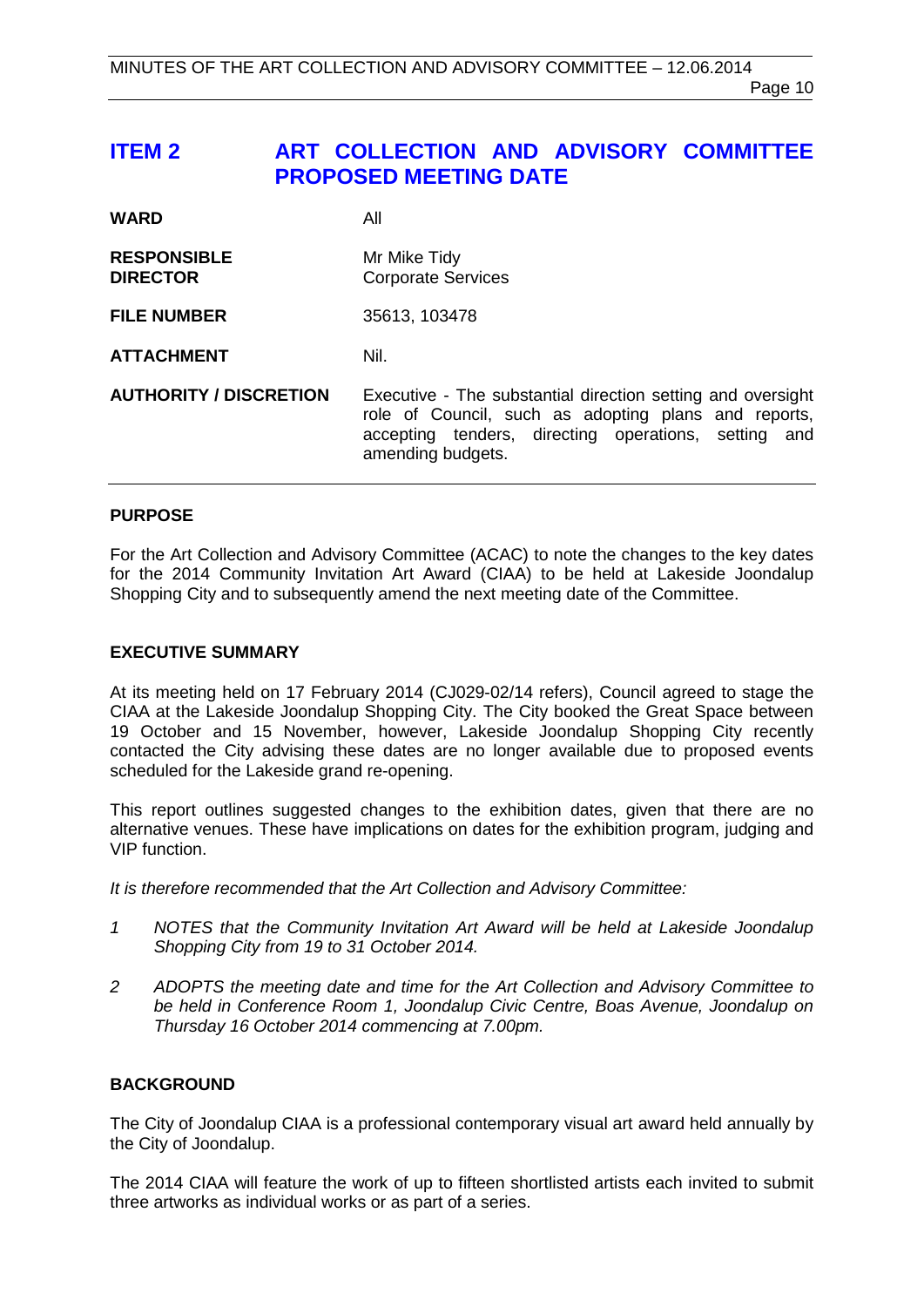# **ITEM 2 ART COLLECTION AND ADVISORY COMMITTEE PROPOSED MEETING DATE**

| <b>WARD</b>                           | All                                                                                                                                                                                              |  |
|---------------------------------------|--------------------------------------------------------------------------------------------------------------------------------------------------------------------------------------------------|--|
| <b>RESPONSIBLE</b><br><b>DIRECTOR</b> | Mr Mike Tidy<br><b>Corporate Services</b>                                                                                                                                                        |  |
| <b>FILE NUMBER</b>                    | 35613, 103478                                                                                                                                                                                    |  |
| <b>ATTACHMENT</b>                     | Nil.                                                                                                                                                                                             |  |
| <b>AUTHORITY / DISCRETION</b>         | Executive - The substantial direction setting and oversight<br>role of Council, such as adopting plans and reports,<br>accepting tenders, directing operations, setting and<br>amending budgets. |  |

#### **PURPOSE**

For the Art Collection and Advisory Committee (ACAC) to note the changes to the key dates for the 2014 Community Invitation Art Award (CIAA) to be held at Lakeside Joondalup Shopping City and to subsequently amend the next meeting date of the Committee.

#### **EXECUTIVE SUMMARY**

At its meeting held on 17 February 2014 (CJ029-02/14 refers), Council agreed to stage the CIAA at the Lakeside Joondalup Shopping City. The City booked the Great Space between 19 October and 15 November, however, Lakeside Joondalup Shopping City recently contacted the City advising these dates are no longer available due to proposed events scheduled for the Lakeside grand re-opening.

This report outlines suggested changes to the exhibition dates, given that there are no alternative venues. These have implications on dates for the exhibition program, judging and VIP function.

*It is therefore recommended that the Art Collection and Advisory Committee:*

- *1 NOTES that the Community Invitation Art Award will be held at Lakeside Joondalup Shopping City from 19 to 31 October 2014.*
- *2 ADOPTS the meeting date and time for the Art Collection and Advisory Committee to be held in Conference Room 1, Joondalup Civic Centre, Boas Avenue, Joondalup on Thursday 16 October 2014 commencing at 7.00pm.*

#### **BACKGROUND**

The City of Joondalup CIAA is a professional contemporary visual art award held annually by the City of Joondalup.

The 2014 CIAA will feature the work of up to fifteen shortlisted artists each invited to submit three artworks as individual works or as part of a series.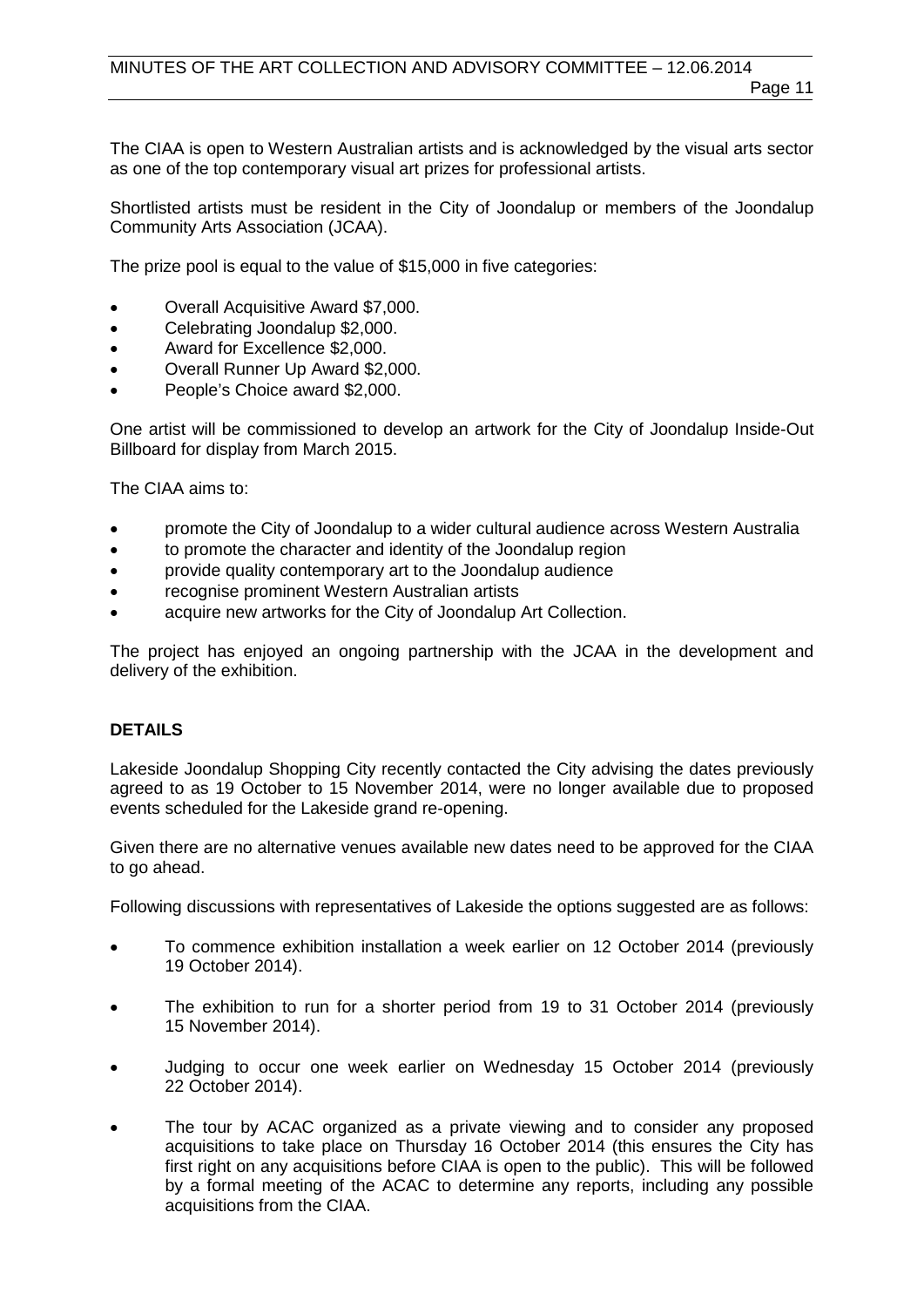The CIAA is open to Western Australian artists and is acknowledged by the visual arts sector as one of the top contemporary visual art prizes for professional artists.

Shortlisted artists must be resident in the City of Joondalup or members of the Joondalup Community Arts Association (JCAA).

The prize pool is equal to the value of \$15,000 in five categories:

- Overall Acquisitive Award \$7,000.
- Celebrating Joondalup \$2,000.
- Award for Excellence \$2,000.
- Overall Runner Up Award \$2,000.
- People's Choice award \$2,000.

One artist will be commissioned to develop an artwork for the City of Joondalup Inside-Out Billboard for display from March 2015.

The CIAA aims to:

- promote the City of Joondalup to a wider cultural audience across Western Australia
- to promote the character and identity of the Joondalup region
- provide quality contemporary art to the Joondalup audience
- recognise prominent Western Australian artists
- acquire new artworks for the City of Joondalup Art Collection.

The project has enjoyed an ongoing partnership with the JCAA in the development and delivery of the exhibition.

#### **DETAILS**

Lakeside Joondalup Shopping City recently contacted the City advising the dates previously agreed to as 19 October to 15 November 2014, were no longer available due to proposed events scheduled for the Lakeside grand re-opening.

Given there are no alternative venues available new dates need to be approved for the CIAA to go ahead.

Following discussions with representatives of Lakeside the options suggested are as follows:

- To commence exhibition installation a week earlier on 12 October 2014 (previously 19 October 2014).
- The exhibition to run for a shorter period from 19 to 31 October 2014 (previously 15 November 2014).
- Judging to occur one week earlier on Wednesday 15 October 2014 (previously 22 October 2014).
- The tour by ACAC organized as a private viewing and to consider any proposed acquisitions to take place on Thursday 16 October 2014 (this ensures the City has first right on any acquisitions before CIAA is open to the public). This will be followed by a formal meeting of the ACAC to determine any reports, including any possible acquisitions from the CIAA.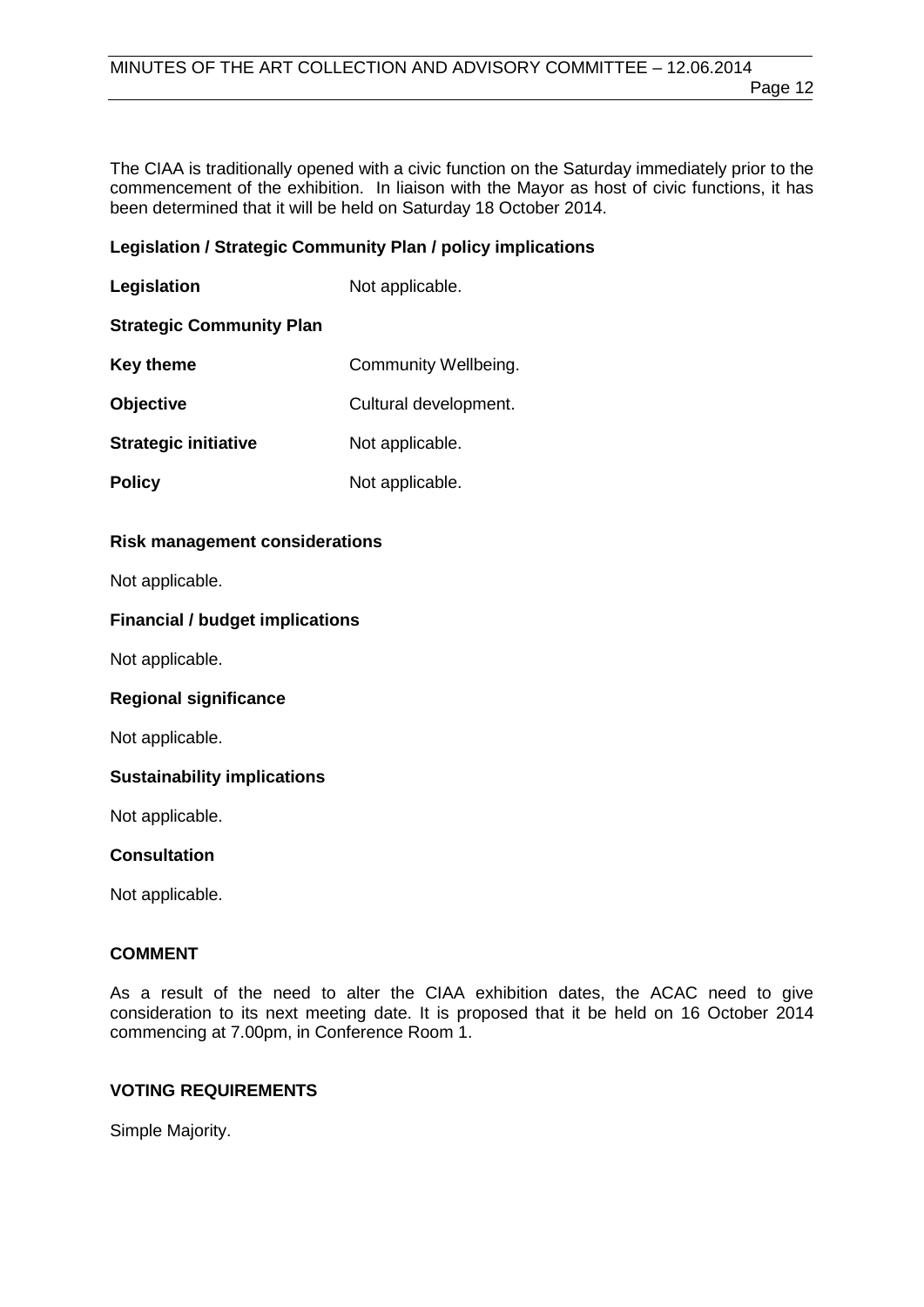The CIAA is traditionally opened with a civic function on the Saturday immediately prior to the commencement of the exhibition. In liaison with the Mayor as host of civic functions, it has been determined that it will be held on Saturday 18 October 2014.

#### **Legislation / Strategic Community Plan / policy implications**

| Legislation                     | Not applicable.       |
|---------------------------------|-----------------------|
| <b>Strategic Community Plan</b> |                       |
| <b>Key theme</b>                | Community Wellbeing.  |
| <b>Objective</b>                | Cultural development. |
| <b>Strategic initiative</b>     | Not applicable.       |
| <b>Policy</b>                   | Not applicable.       |

#### **Risk management considerations**

Not applicable.

#### **Financial / budget implications**

Not applicable.

#### **Regional significance**

Not applicable.

#### **Sustainability implications**

Not applicable.

#### **Consultation**

Not applicable.

#### **COMMENT**

As a result of the need to alter the CIAA exhibition dates, the ACAC need to give consideration to its next meeting date. It is proposed that it be held on 16 October 2014 commencing at 7.00pm, in Conference Room 1.

#### **VOTING REQUIREMENTS**

Simple Majority.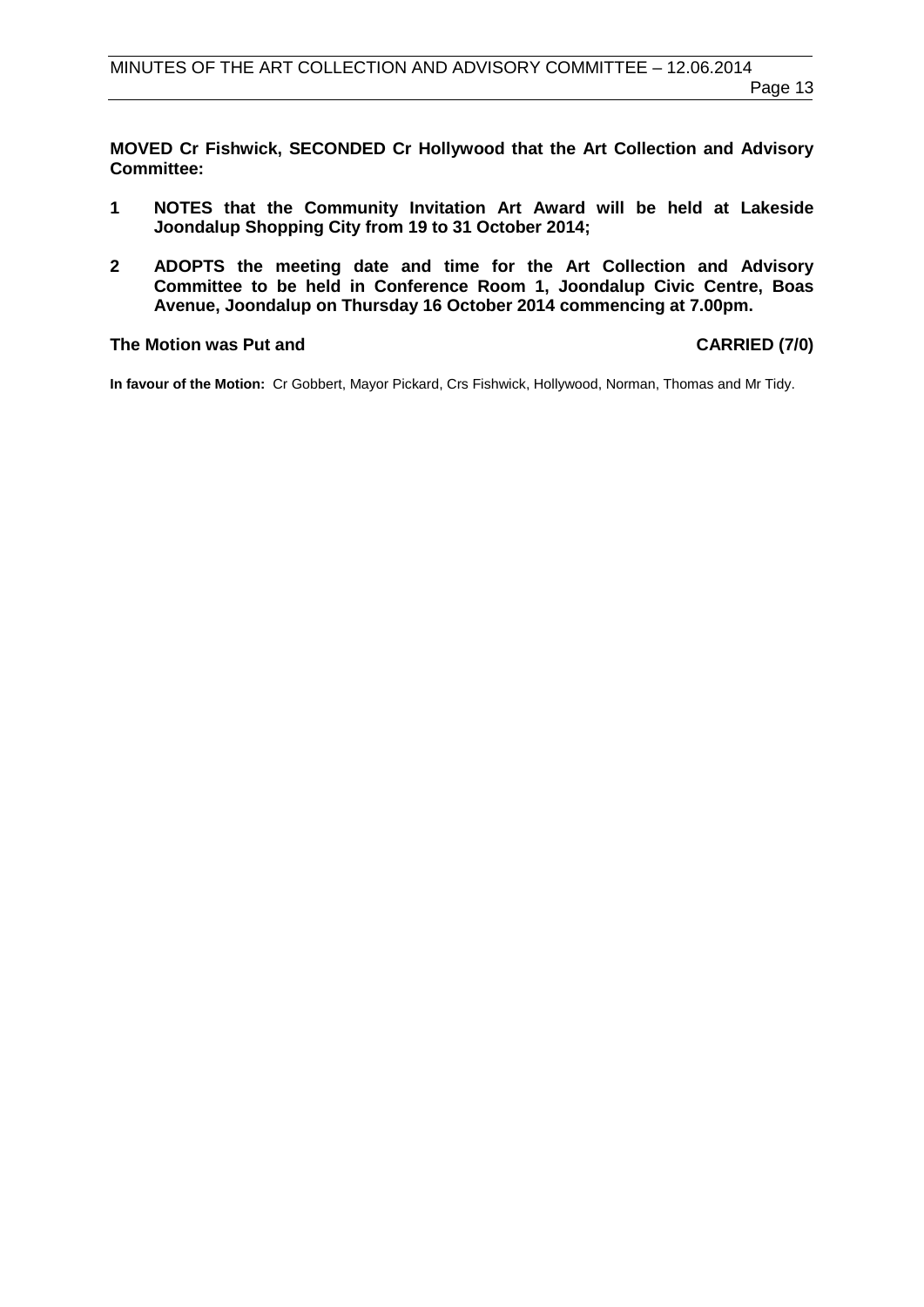**MOVED Cr Fishwick, SECONDED Cr Hollywood that the Art Collection and Advisory Committee:**

- **1 NOTES that the Community Invitation Art Award will be held at Lakeside Joondalup Shopping City from 19 to 31 October 2014;**
- **2 ADOPTS the meeting date and time for the Art Collection and Advisory Committee to be held in Conference Room 1, Joondalup Civic Centre, Boas Avenue, Joondalup on Thursday 16 October 2014 commencing at 7.00pm.**

#### The Motion was Put and **CARRIED** (7/0)

**In favour of the Motion:** Cr Gobbert, Mayor Pickard, Crs Fishwick, Hollywood, Norman, Thomas and Mr Tidy.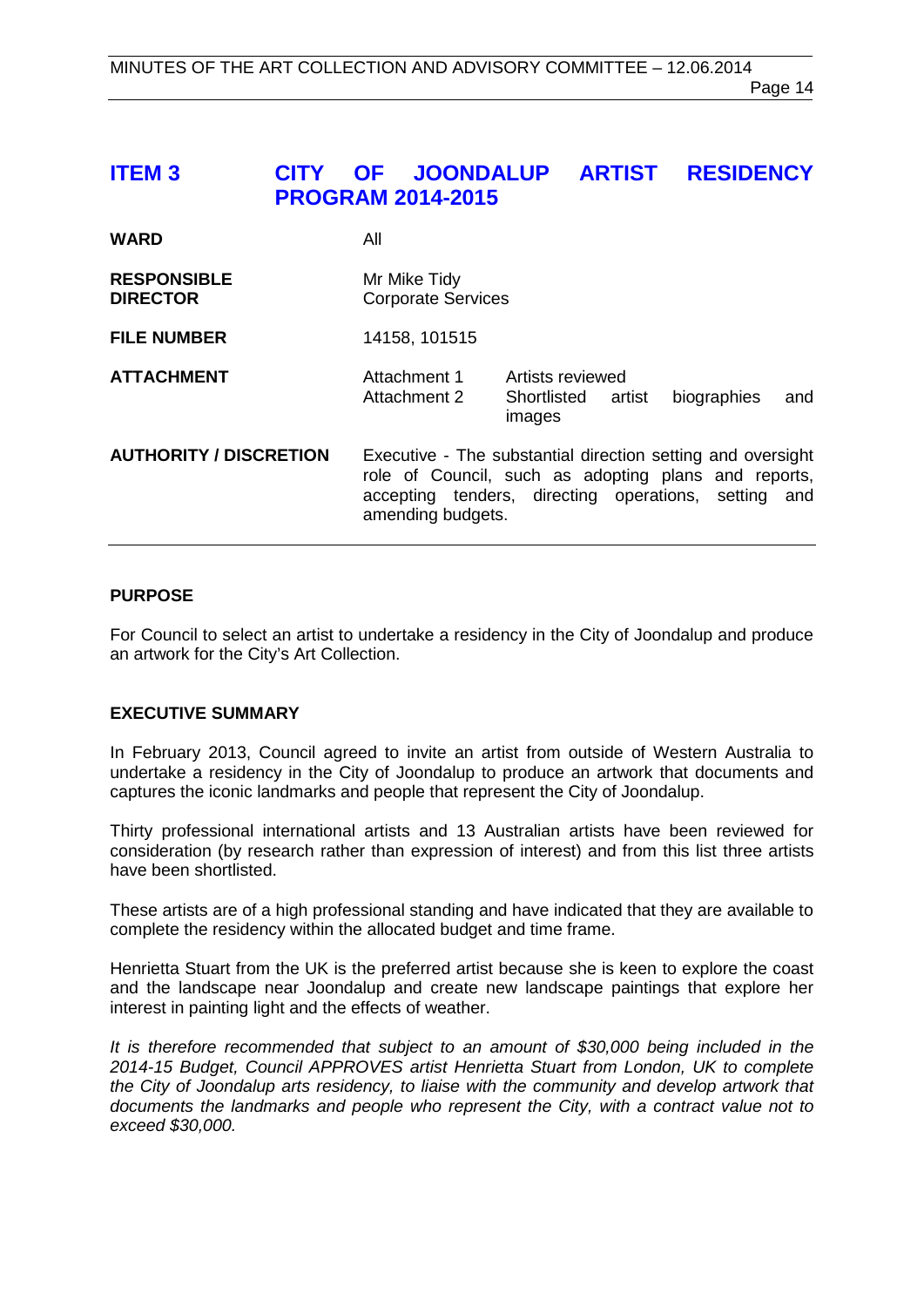# <span id="page-13-0"></span>**ITEM 3 CITY OF JOONDALUP ARTIST RESIDENCY PROGRAM 2014-2015**

| <b>WARD</b>                           | All                                                                                                                                                                                              |                                                     |                    |
|---------------------------------------|--------------------------------------------------------------------------------------------------------------------------------------------------------------------------------------------------|-----------------------------------------------------|--------------------|
| <b>RESPONSIBLE</b><br><b>DIRECTOR</b> | Mr Mike Tidy<br><b>Corporate Services</b>                                                                                                                                                        |                                                     |                    |
| <b>FILE NUMBER</b>                    | 14158, 101515                                                                                                                                                                                    |                                                     |                    |
| <b>ATTACHMENT</b>                     | Attachment 1<br>Attachment 2                                                                                                                                                                     | Artists reviewed<br>Shortlisted<br>artist<br>images | biographies<br>and |
| <b>AUTHORITY / DISCRETION</b>         | Executive - The substantial direction setting and oversight<br>role of Council, such as adopting plans and reports,<br>accepting tenders, directing operations, setting and<br>amending budgets. |                                                     |                    |

#### **PURPOSE**

For Council to select an artist to undertake a residency in the City of Joondalup and produce an artwork for the City's Art Collection.

#### **EXECUTIVE SUMMARY**

In February 2013, Council agreed to invite an artist from outside of Western Australia to undertake a residency in the City of Joondalup to produce an artwork that documents and captures the iconic landmarks and people that represent the City of Joondalup.

Thirty professional international artists and 13 Australian artists have been reviewed for consideration (by research rather than expression of interest) and from this list three artists have been shortlisted.

These artists are of a high professional standing and have indicated that they are available to complete the residency within the allocated budget and time frame.

Henrietta Stuart from the UK is the preferred artist because she is keen to explore the coast and the landscape near Joondalup and create new landscape paintings that explore her interest in painting light and the effects of weather.

*It is therefore recommended that subject to an amount of \$30,000 being included in the 2014-15 Budget, Council APPROVES artist Henrietta Stuart from London, UK to complete the City of Joondalup arts residency, to liaise with the community and develop artwork that documents the landmarks and people who represent the City, with a contract value not to exceed \$30,000.*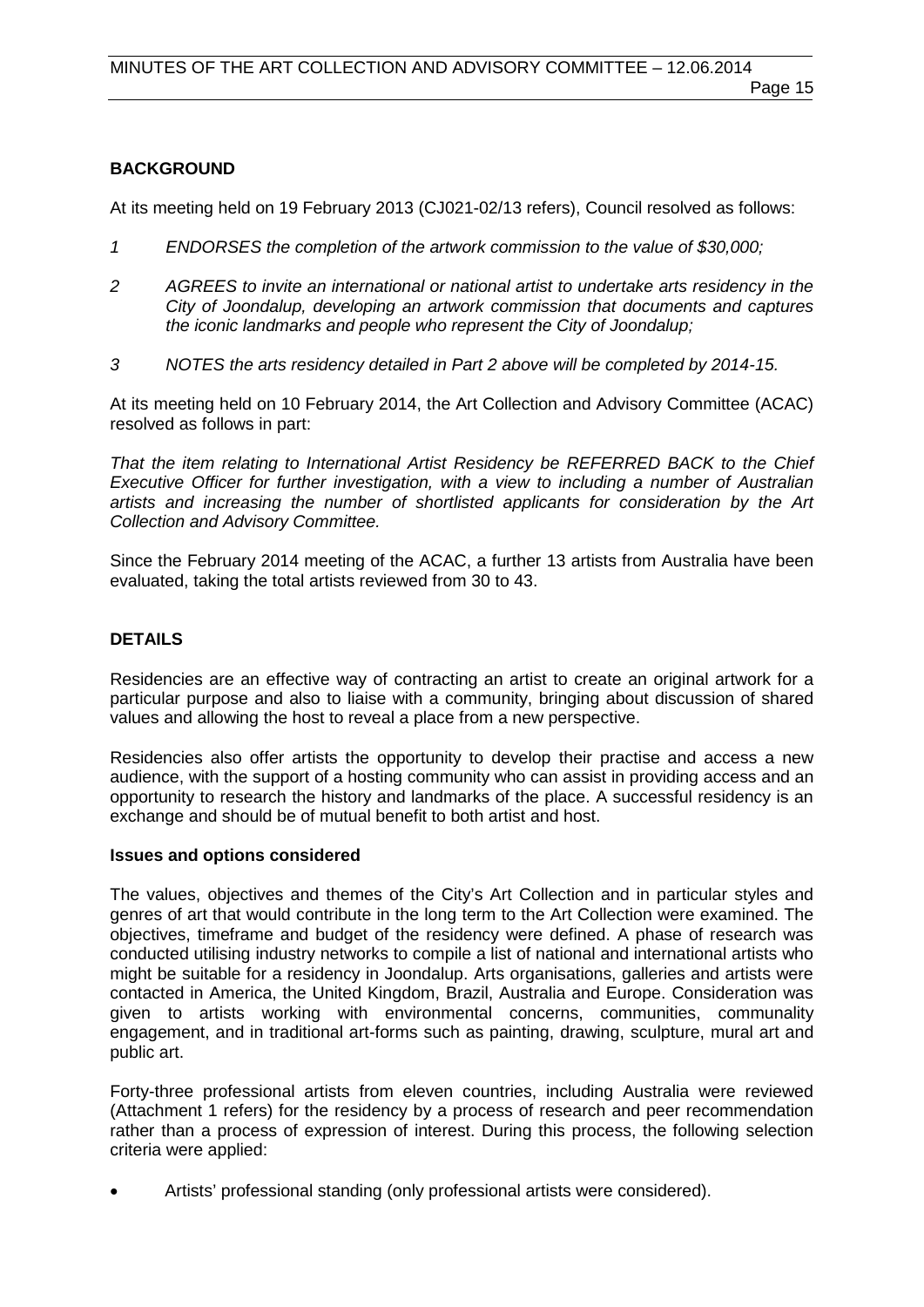#### **BACKGROUND**

At its meeting held on 19 February 2013 (CJ021-02/13 refers), Council resolved as follows:

- *1 ENDORSES the completion of the artwork commission to the value of \$30,000;*
- *2 AGREES to invite an international or national artist to undertake arts residency in the City of Joondalup, developing an artwork commission that documents and captures the iconic landmarks and people who represent the City of Joondalup;*
- *3 NOTES the arts residency detailed in Part 2 above will be completed by 2014-15.*

At its meeting held on 10 February 2014, the Art Collection and Advisory Committee (ACAC) resolved as follows in part:

*That the item relating to International Artist Residency be REFERRED BACK to the Chief Executive Officer for further investigation, with a view to including a number of Australian artists and increasing the number of shortlisted applicants for consideration by the Art Collection and Advisory Committee.*

Since the February 2014 meeting of the ACAC, a further 13 artists from Australia have been evaluated, taking the total artists reviewed from 30 to 43.

#### **DETAILS**

Residencies are an effective way of contracting an artist to create an original artwork for a particular purpose and also to liaise with a community, bringing about discussion of shared values and allowing the host to reveal a place from a new perspective.

Residencies also offer artists the opportunity to develop their practise and access a new audience, with the support of a hosting community who can assist in providing access and an opportunity to research the history and landmarks of the place. A successful residency is an exchange and should be of mutual benefit to both artist and host.

#### **Issues and options considered**

The values, objectives and themes of the City's Art Collection and in particular styles and genres of art that would contribute in the long term to the Art Collection were examined. The objectives, timeframe and budget of the residency were defined. A phase of research was conducted utilising industry networks to compile a list of national and international artists who might be suitable for a residency in Joondalup. Arts organisations, galleries and artists were contacted in America, the United Kingdom, Brazil, Australia and Europe. Consideration was given to artists working with environmental concerns, communities, communality engagement, and in traditional art-forms such as painting, drawing, sculpture, mural art and public art.

Forty-three professional artists from eleven countries, including Australia were reviewed (Attachment 1 refers) for the residency by a process of research and peer recommendation rather than a process of expression of interest. During this process, the following selection criteria were applied:

• Artists' professional standing (only professional artists were considered).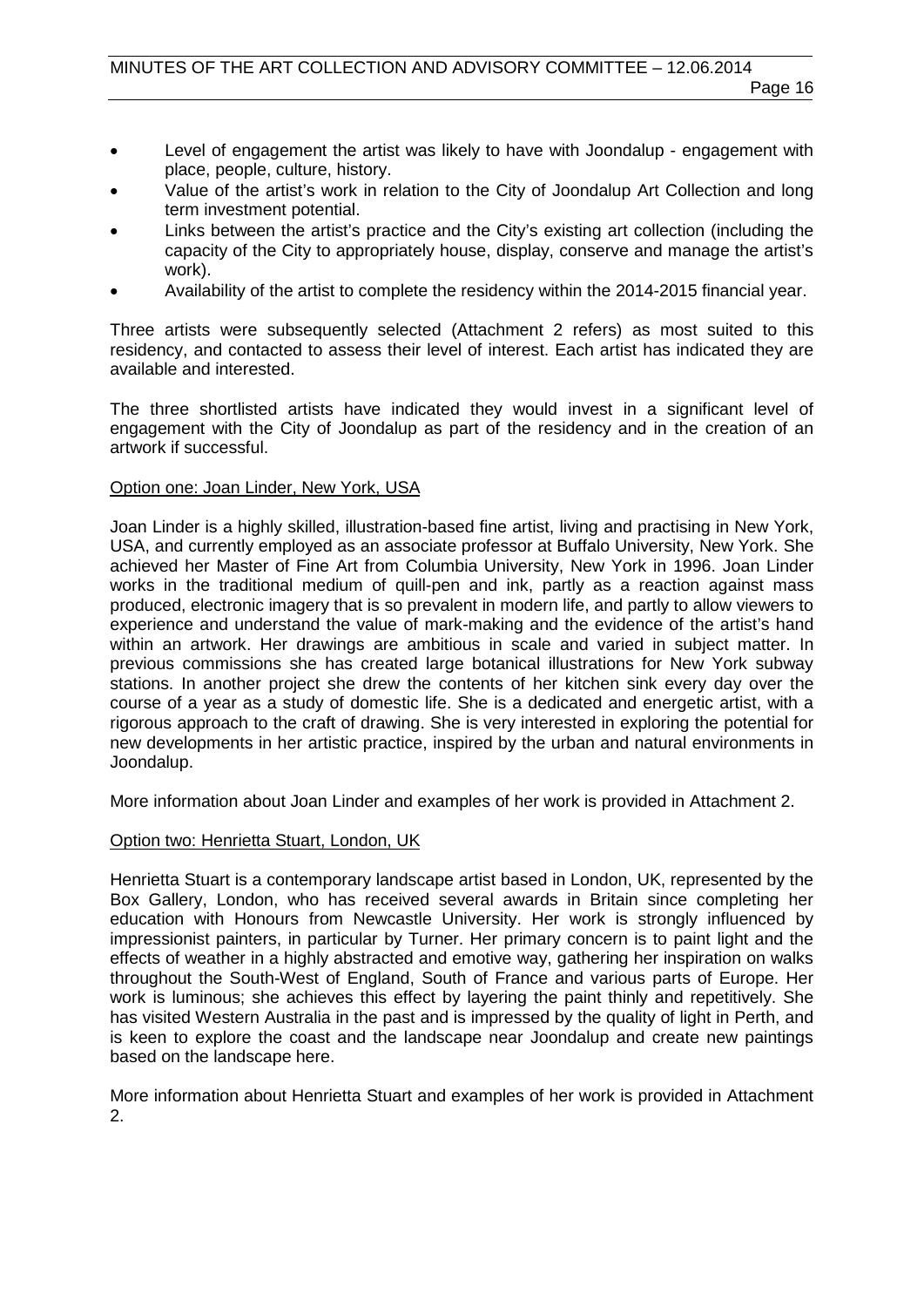- Level of engagement the artist was likely to have with Joondalup engagement with place, people, culture, history.
- Value of the artist's work in relation to the City of Joondalup Art Collection and long term investment potential.
- Links between the artist's practice and the City's existing art collection (including the capacity of the City to appropriately house, display, conserve and manage the artist's work).
- Availability of the artist to complete the residency within the 2014-2015 financial year.

Three artists were subsequently selected (Attachment 2 refers) as most suited to this residency, and contacted to assess their level of interest. Each artist has indicated they are available and interested.

The three shortlisted artists have indicated they would invest in a significant level of engagement with the City of Joondalup as part of the residency and in the creation of an artwork if successful.

#### Option one: Joan Linder, New York, USA

Joan Linder is a highly skilled, illustration-based fine artist, living and practising in New York, USA, and currently employed as an associate professor at Buffalo University, New York. She achieved her Master of Fine Art from Columbia University, New York in 1996. Joan Linder works in the traditional medium of quill-pen and ink, partly as a reaction against mass produced, electronic imagery that is so prevalent in modern life, and partly to allow viewers to experience and understand the value of mark-making and the evidence of the artist's hand within an artwork. Her drawings are ambitious in scale and varied in subject matter. In previous commissions she has created large botanical illustrations for New York subway stations. In another project she drew the contents of her kitchen sink every day over the course of a year as a study of domestic life. She is a dedicated and energetic artist, with a rigorous approach to the craft of drawing. She is very interested in exploring the potential for new developments in her artistic practice, inspired by the urban and natural environments in Joondalup.

More information about Joan Linder and examples of her work is provided in Attachment 2.

#### Option two: Henrietta Stuart, London, UK

Henrietta Stuart is a contemporary landscape artist based in London, UK, represented by the Box Gallery, London, who has received several awards in Britain since completing her education with Honours from Newcastle University. Her work is strongly influenced by impressionist painters, in particular by Turner. Her primary concern is to paint light and the effects of weather in a highly abstracted and emotive way, gathering her inspiration on walks throughout the South-West of England, South of France and various parts of Europe. Her work is luminous; she achieves this effect by layering the paint thinly and repetitively. She has visited Western Australia in the past and is impressed by the quality of light in Perth, and is keen to explore the coast and the landscape near Joondalup and create new paintings based on the landscape here.

More information about Henrietta Stuart and examples of her work is provided in Attachment 2.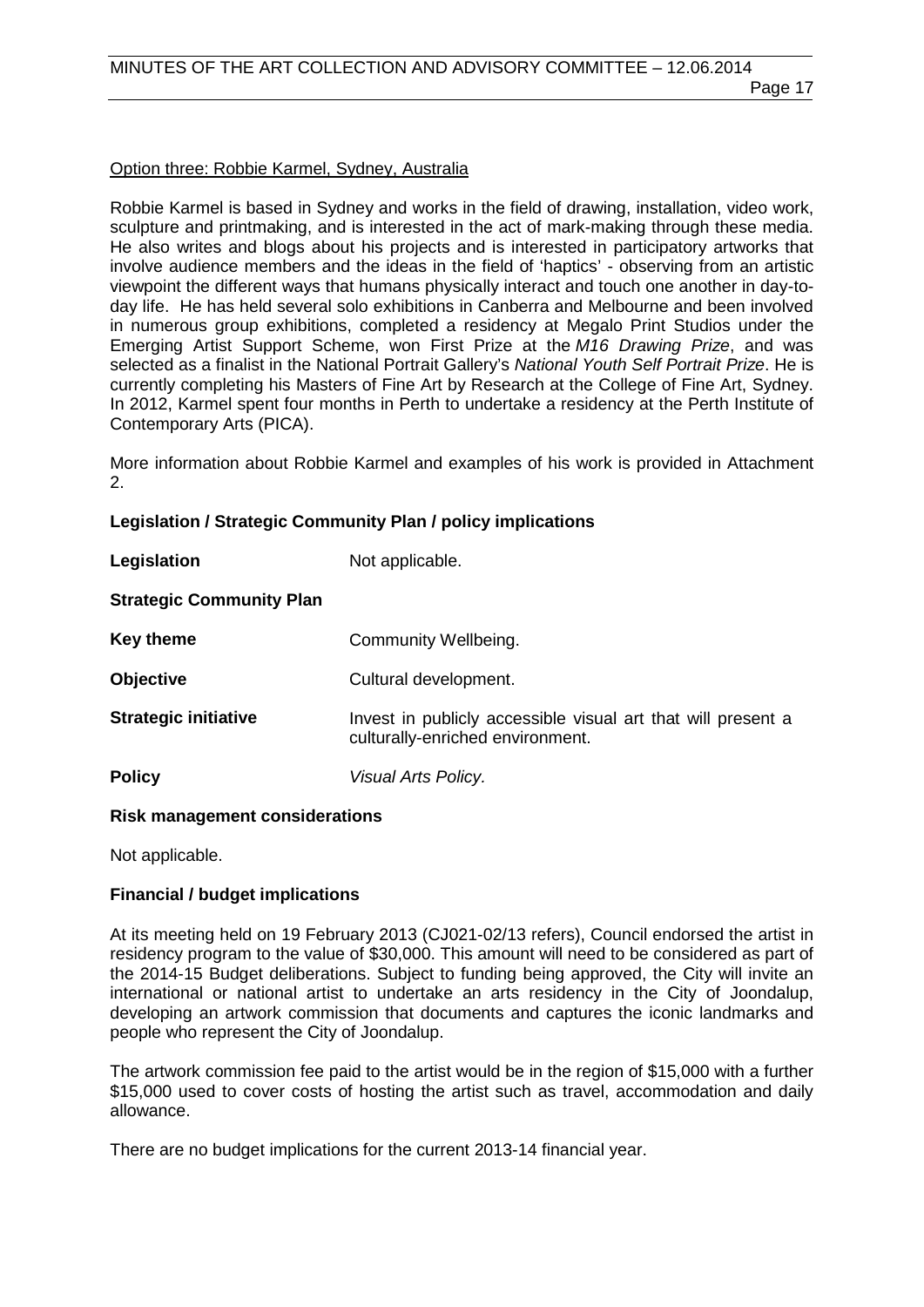#### Option three: Robbie Karmel, Sydney, Australia

Robbie Karmel is based in Sydney and works in the field of drawing, installation, video work, sculpture and printmaking, and is interested in the act of mark-making through these media. He also writes and blogs about his projects and is interested in participatory artworks that involve audience members and the ideas in the field of 'haptics' - observing from an artistic viewpoint the different ways that humans physically interact and touch one another in day-today life. He has held several solo exhibitions in Canberra and Melbourne and been involved in numerous group exhibitions, completed a residency at Megalo Print Studios under the Emerging Artist Support Scheme, won First Prize at the *M16 Drawing Prize*, and was selected as a finalist in the National Portrait Gallery's *National Youth Self Portrait Prize*. He is currently completing his Masters of Fine Art by Research at the College of Fine Art, Sydney. In 2012, Karmel spent four months in Perth to undertake a residency at the Perth Institute of Contemporary Arts (PICA).

More information about Robbie Karmel and examples of his work is provided in Attachment 2.

#### **Legislation / Strategic Community Plan / policy implications**

| Legislation                     | Not applicable.                                                                                  |
|---------------------------------|--------------------------------------------------------------------------------------------------|
| <b>Strategic Community Plan</b> |                                                                                                  |
| <b>Key theme</b>                | Community Wellbeing.                                                                             |
| <b>Objective</b>                | Cultural development.                                                                            |
| <b>Strategic initiative</b>     | Invest in publicly accessible visual art that will present a<br>culturally-enriched environment. |
| <b>Policy</b>                   | Visual Arts Policy.                                                                              |

#### **Risk management considerations**

Not applicable.

#### **Financial / budget implications**

At its meeting held on 19 February 2013 (CJ021-02/13 refers), Council endorsed the artist in residency program to the value of \$30,000. This amount will need to be considered as part of the 2014-15 Budget deliberations. Subject to funding being approved, the City will invite an international or national artist to undertake an arts residency in the City of Joondalup, developing an artwork commission that documents and captures the iconic landmarks and people who represent the City of Joondalup.

The artwork commission fee paid to the artist would be in the region of \$15,000 with a further \$15,000 used to cover costs of hosting the artist such as travel, accommodation and daily allowance.

There are no budget implications for the current 2013-14 financial year.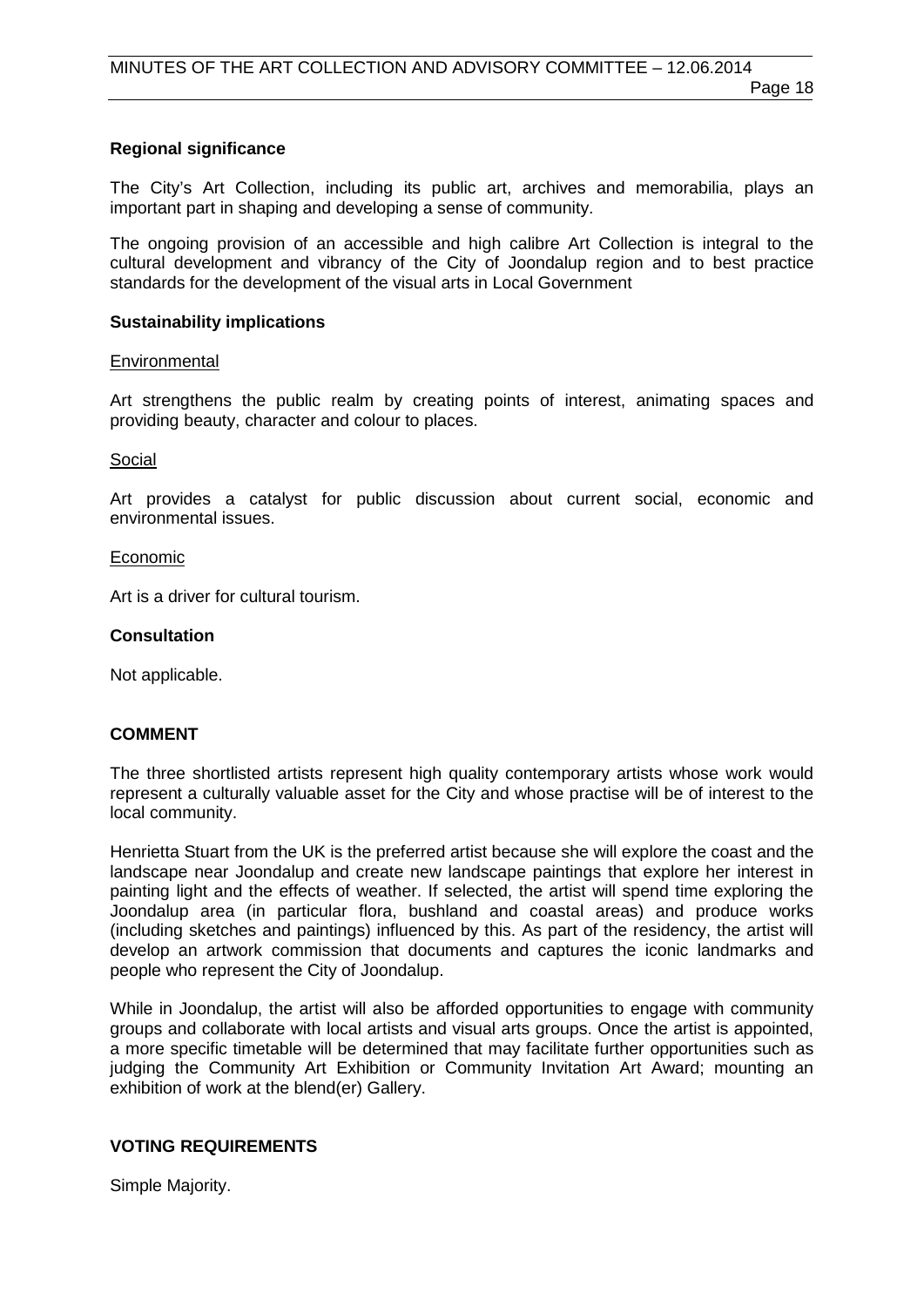#### **Regional significance**

The City's Art Collection, including its public art, archives and memorabilia, plays an important part in shaping and developing a sense of community.

The ongoing provision of an accessible and high calibre Art Collection is integral to the cultural development and vibrancy of the City of Joondalup region and to best practice standards for the development of the visual arts in Local Government

#### **Sustainability implications**

#### **Environmental**

Art strengthens the public realm by creating points of interest, animating spaces and providing beauty, character and colour to places.

#### Social

Art provides a catalyst for public discussion about current social, economic and environmental issues.

#### Economic

Art is a driver for cultural tourism.

#### **Consultation**

Not applicable.

#### **COMMENT**

The three shortlisted artists represent high quality contemporary artists whose work would represent a culturally valuable asset for the City and whose practise will be of interest to the local community.

Henrietta Stuart from the UK is the preferred artist because she will explore the coast and the landscape near Joondalup and create new landscape paintings that explore her interest in painting light and the effects of weather. If selected, the artist will spend time exploring the Joondalup area (in particular flora, bushland and coastal areas) and produce works (including sketches and paintings) influenced by this. As part of the residency, the artist will develop an artwork commission that documents and captures the iconic landmarks and people who represent the City of Joondalup.

While in Joondalup, the artist will also be afforded opportunities to engage with community groups and collaborate with local artists and visual arts groups. Once the artist is appointed, a more specific timetable will be determined that may facilitate further opportunities such as judging the Community Art Exhibition or Community Invitation Art Award; mounting an exhibition of work at the blend(er) Gallery.

#### **VOTING REQUIREMENTS**

Simple Majority.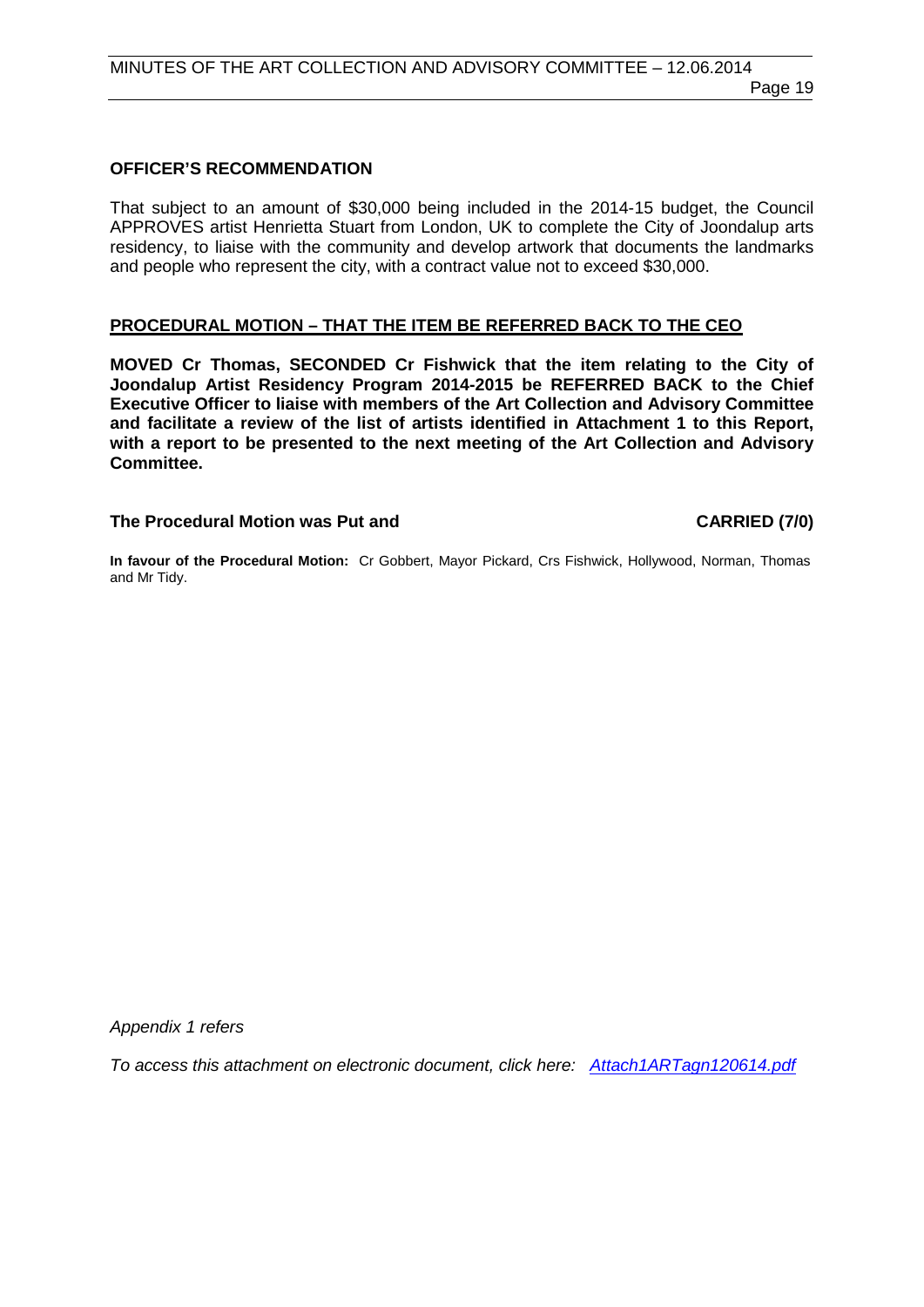#### **OFFICER'S RECOMMENDATION**

That subject to an amount of \$30,000 being included in the 2014-15 budget, the Council APPROVES artist Henrietta Stuart from London, UK to complete the City of Joondalup arts residency, to liaise with the community and develop artwork that documents the landmarks and people who represent the city, with a contract value not to exceed \$30,000.

#### **PROCEDURAL MOTION – THAT THE ITEM BE REFERRED BACK TO THE CEO**

**MOVED Cr Thomas, SECONDED Cr Fishwick that the item relating to the City of Joondalup Artist Residency Program 2014-2015 be REFERRED BACK to the Chief Executive Officer to liaise with members of the Art Collection and Advisory Committee and facilitate a review of the list of artists identified in Attachment 1 to this Report, with a report to be presented to the next meeting of the Art Collection and Advisory Committee.**

#### The Procedural Motion was Put and **CARRIED** (7/0)

**In favour of the Procedural Motion:** Cr Gobbert, Mayor Pickard, Crs Fishwick, Hollywood, Norman, Thomas and Mr Tidy.

*Appendix 1 refers*

*[To access this attachment on electronic document, click here: Attach1ARTagn120614.pdf](http://www.joondalup.wa.gov.au/files/committees/ACAC/2014/Attach1ARTagn120614.pdf)*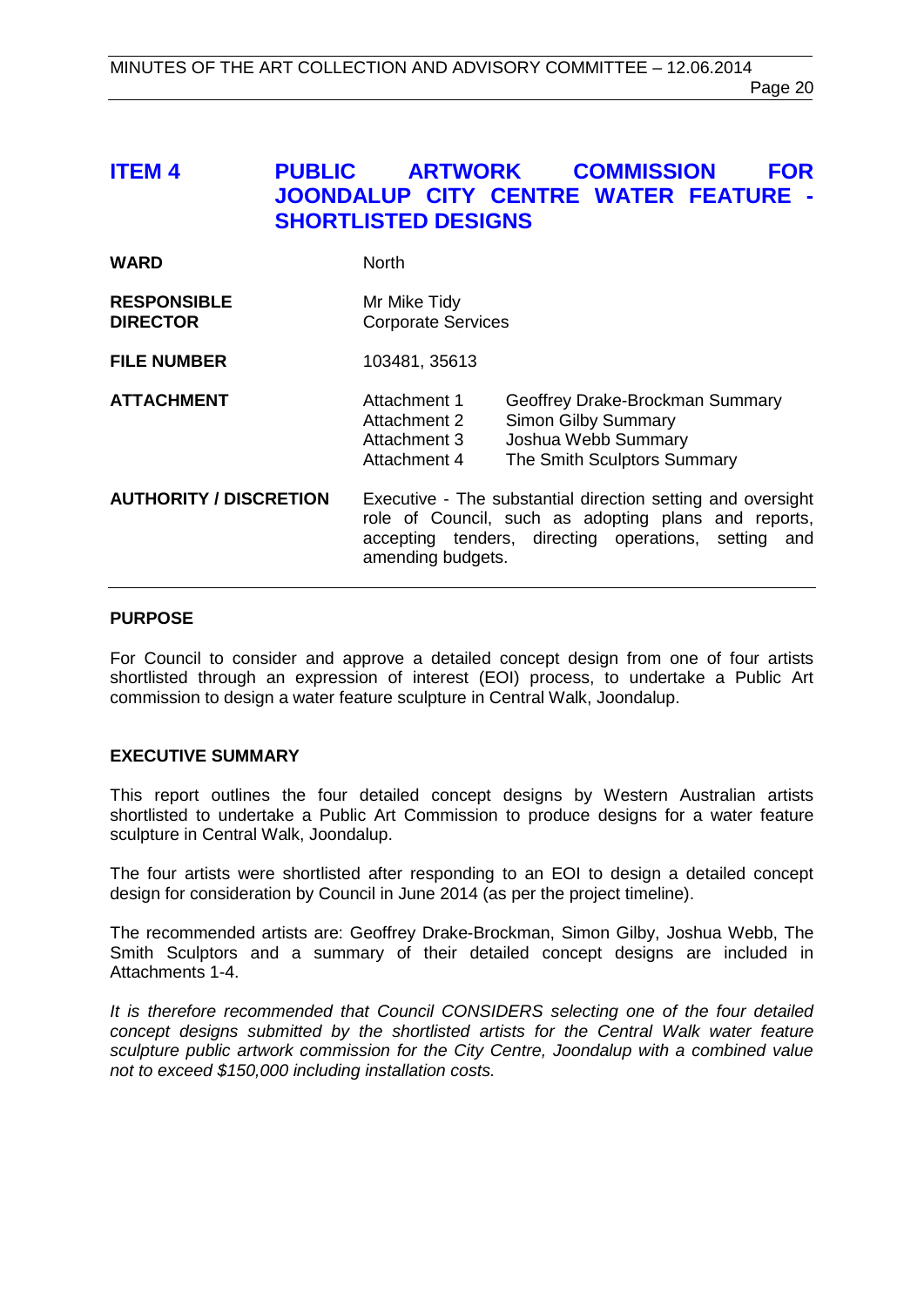# <span id="page-19-0"></span>**ITEM 4 PUBLIC ARTWORK COMMISSION FOR JOONDALUP CITY CENTRE WATER FEATURE - SHORTLISTED DESIGNS**

| <b>WARD</b>                           | <b>North</b>                                                                                                                                                                                        |                                                                                                                     |
|---------------------------------------|-----------------------------------------------------------------------------------------------------------------------------------------------------------------------------------------------------|---------------------------------------------------------------------------------------------------------------------|
| <b>RESPONSIBLE</b><br><b>DIRECTOR</b> | Mr Mike Tidy<br><b>Corporate Services</b>                                                                                                                                                           |                                                                                                                     |
| <b>FILE NUMBER</b>                    | 103481, 35613                                                                                                                                                                                       |                                                                                                                     |
| <b>ATTACHMENT</b>                     | Attachment 1<br>Attachment 2<br>Attachment 3<br>Attachment 4                                                                                                                                        | Geoffrey Drake-Brockman Summary<br><b>Simon Gilby Summary</b><br>Joshua Webb Summary<br>The Smith Sculptors Summary |
| <b>AUTHORITY / DISCRETION</b>         | Executive - The substantial direction setting and oversight<br>role of Council, such as adopting plans and reports,<br>accepting tenders, directing operations, setting<br>and<br>amending budgets. |                                                                                                                     |

#### **PURPOSE**

For Council to consider and approve a detailed concept design from one of four artists shortlisted through an expression of interest (EOI) process, to undertake a Public Art commission to design a water feature sculpture in Central Walk, Joondalup.

#### **EXECUTIVE SUMMARY**

This report outlines the four detailed concept designs by Western Australian artists shortlisted to undertake a Public Art Commission to produce designs for a water feature sculpture in Central Walk, Joondalup.

The four artists were shortlisted after responding to an EOI to design a detailed concept design for consideration by Council in June 2014 (as per the project timeline).

The recommended artists are: Geoffrey Drake-Brockman, Simon Gilby, Joshua Webb, The Smith Sculptors and a summary of their detailed concept designs are included in Attachments 1-4.

*It is therefore recommended that Council CONSIDERS selecting one of the four detailed concept designs submitted by the shortlisted artists for the Central Walk water feature sculpture public artwork commission for the City Centre, Joondalup with a combined value not to exceed \$150,000 including installation costs.*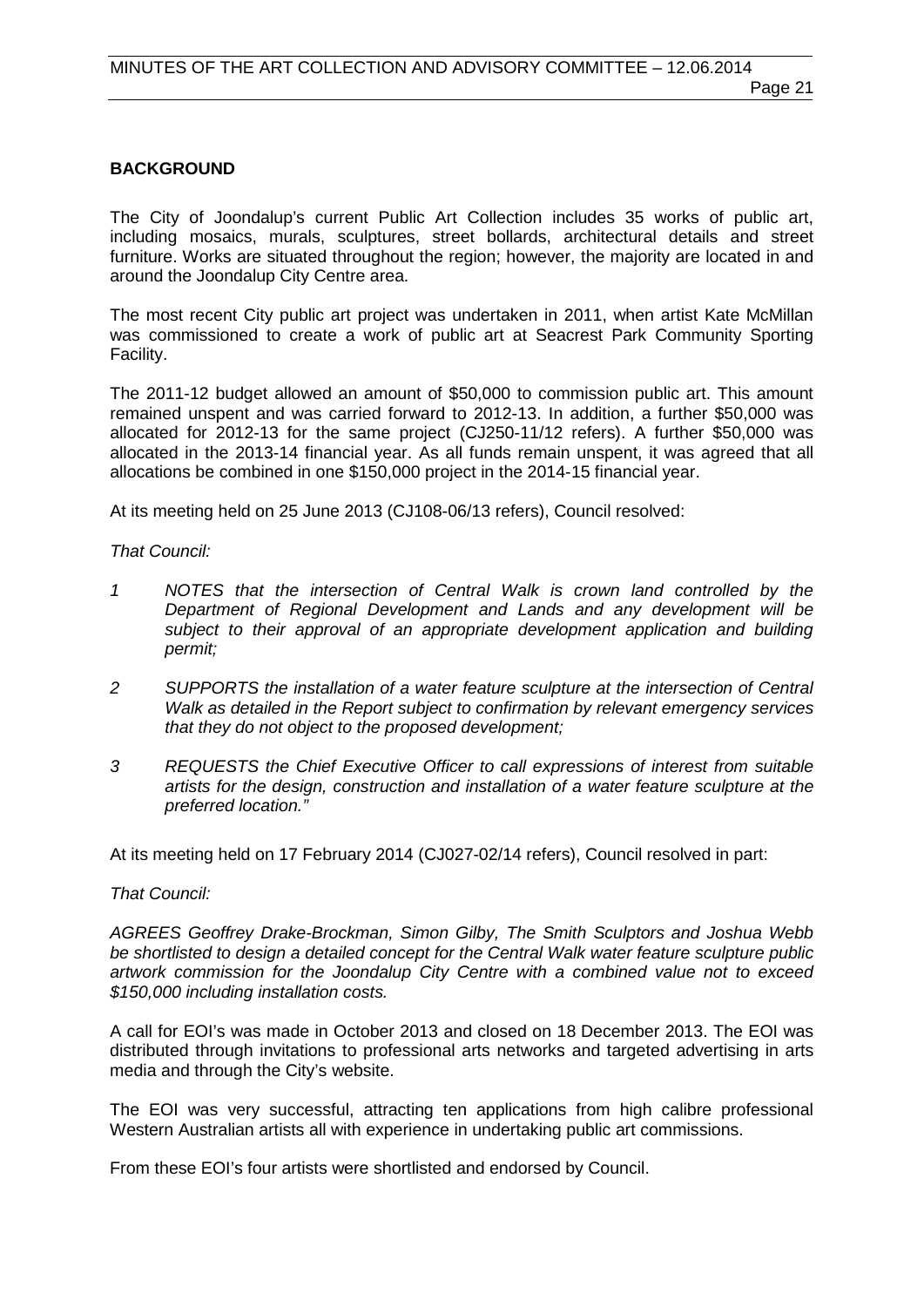#### **BACKGROUND**

The City of Joondalup's current Public Art Collection includes 35 works of public art, including mosaics, murals, sculptures, street bollards, architectural details and street furniture. Works are situated throughout the region; however, the majority are located in and around the Joondalup City Centre area.

The most recent City public art project was undertaken in 2011, when artist Kate McMillan was commissioned to create a work of public art at Seacrest Park Community Sporting Facility.

The 2011-12 budget allowed an amount of \$50,000 to commission public art. This amount remained unspent and was carried forward to 2012-13. In addition, a further \$50,000 was allocated for 2012-13 for the same project (CJ250-11/12 refers). A further \$50,000 was allocated in the 2013-14 financial year. As all funds remain unspent, it was agreed that all allocations be combined in one \$150,000 project in the 2014-15 financial year.

At its meeting held on 25 June 2013 (CJ108-06/13 refers), Council resolved:

#### *That Council:*

- *1 NOTES that the intersection of Central Walk is crown land controlled by the Department of Regional Development and Lands and any development will be subject to their approval of an appropriate development application and building permit;*
- *2 SUPPORTS the installation of a water feature sculpture at the intersection of Central Walk as detailed in the Report subject to confirmation by relevant emergency services that they do not object to the proposed development;*
- *3 REQUESTS the Chief Executive Officer to call expressions of interest from suitable artists for the design, construction and installation of a water feature sculpture at the preferred location."*

At its meeting held on 17 February 2014 (CJ027-02/14 refers), Council resolved in part:

#### *That Council:*

*AGREES Geoffrey Drake-Brockman, Simon Gilby, The Smith Sculptors and Joshua Webb be shortlisted to design a detailed concept for the Central Walk water feature sculpture public artwork commission for the Joondalup City Centre with a combined value not to exceed \$150,000 including installation costs.*

A call for EOI's was made in October 2013 and closed on 18 December 2013. The EOI was distributed through invitations to professional arts networks and targeted advertising in arts media and through the City's website.

The EOI was very successful, attracting ten applications from high calibre professional Western Australian artists all with experience in undertaking public art commissions.

From these EOI's four artists were shortlisted and endorsed by Council.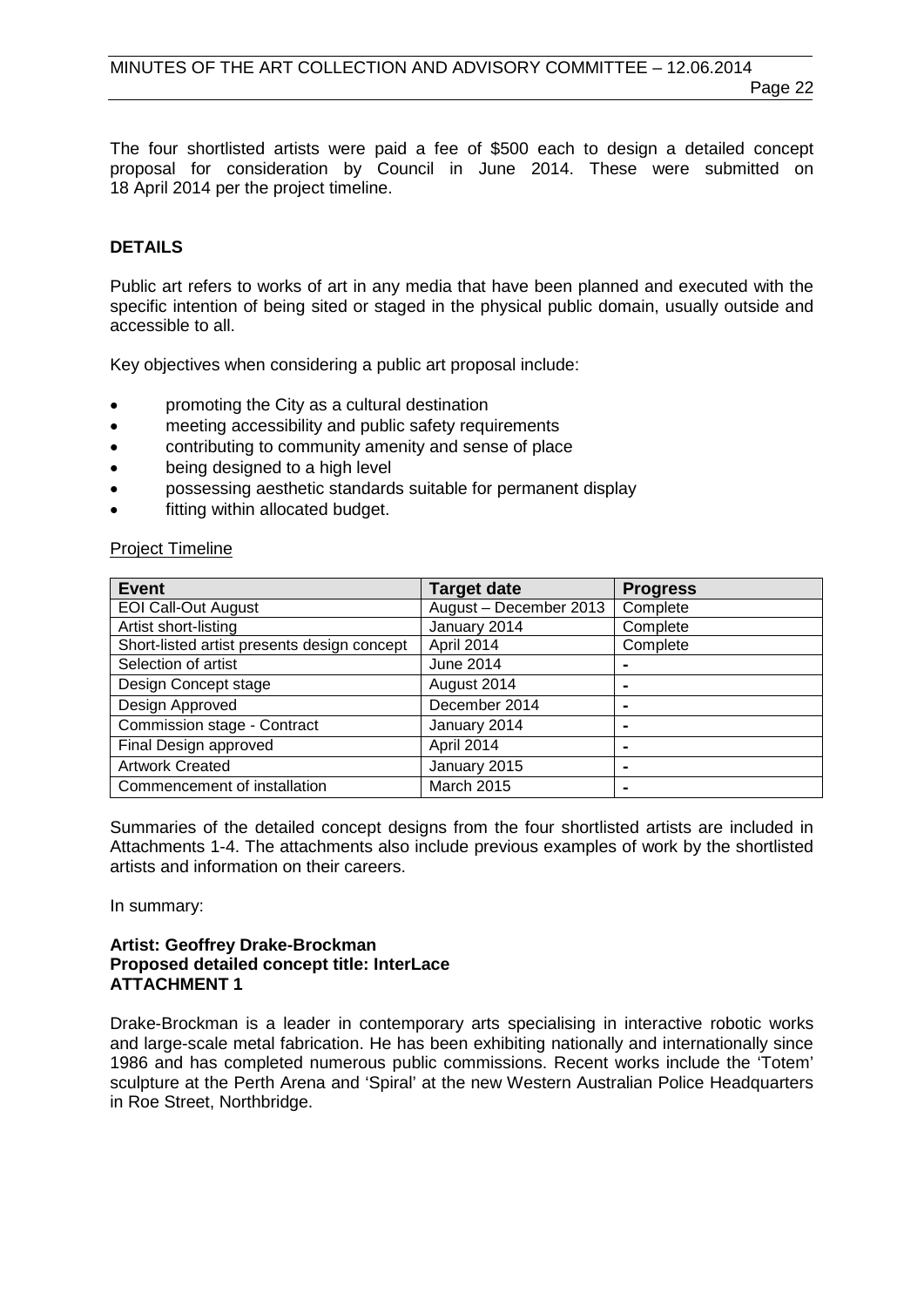The four shortlisted artists were paid a fee of \$500 each to design a detailed concept proposal for consideration by Council in June 2014. These were submitted on 18 April 2014 per the project timeline.

#### **DETAILS**

Public art refers to works of art in any media that have been planned and executed with the specific intention of being sited or staged in the physical public domain, usually outside and accessible to all.

Key objectives when considering a public art proposal include:

- promoting the City as a cultural destination
- meeting accessibility and public safety requirements
- contributing to community amenity and sense of place
- being designed to a high level
- possessing aesthetic standards suitable for permanent display
- fitting within allocated budget.

#### Project Timeline

| <b>Event</b>                                | <b>Target date</b>     | <b>Progress</b> |
|---------------------------------------------|------------------------|-----------------|
| <b>EOI Call-Out August</b>                  | August - December 2013 | Complete        |
| Artist short-listing                        | January 2014           | Complete        |
| Short-listed artist presents design concept | April 2014             | Complete        |
| Selection of artist                         | June 2014              |                 |
| Design Concept stage                        | August 2014            | $\blacksquare$  |
| Design Approved                             | December 2014          | $\blacksquare$  |
| Commission stage - Contract                 | January 2014           | ٠               |
| Final Design approved                       | April 2014             |                 |
| <b>Artwork Created</b>                      | January 2015           | ۰               |
| Commencement of installation                | March 2015             | $\blacksquare$  |

Summaries of the detailed concept designs from the four shortlisted artists are included in Attachments 1-4. The attachments also include previous examples of work by the shortlisted artists and information on their careers.

In summary:

#### **Artist: Geoffrey Drake-Brockman Proposed detailed concept title: InterLace ATTACHMENT 1**

Drake-Brockman is a leader in contemporary arts specialising in interactive robotic works and large-scale metal fabrication. He has been exhibiting nationally and internationally since 1986 and has completed numerous public commissions. Recent works include the 'Totem' sculpture at the Perth Arena and 'Spiral' at the new Western Australian Police Headquarters in Roe Street, Northbridge.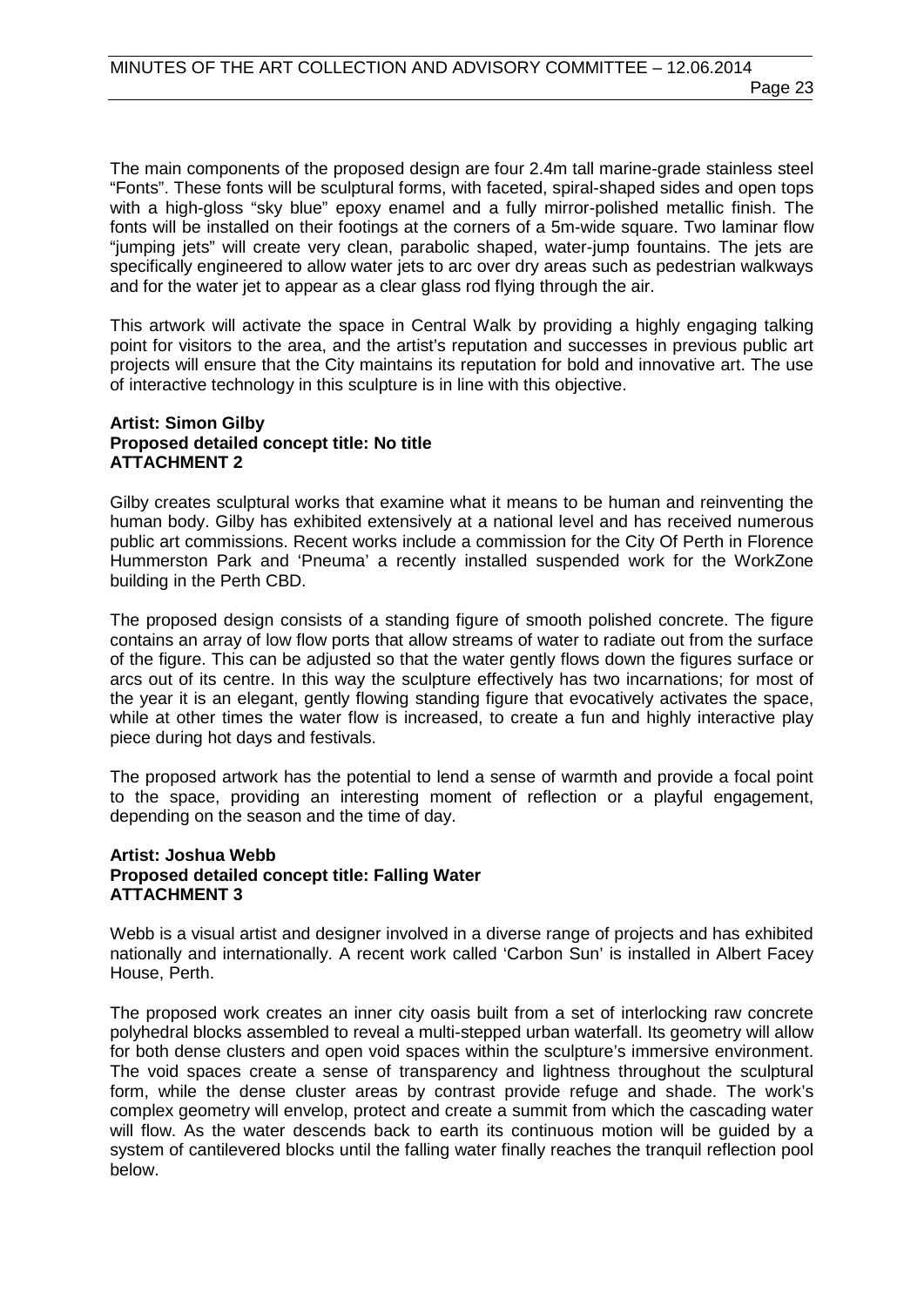The main components of the proposed design are four 2.4m tall marine-grade stainless steel "Fonts". These fonts will be sculptural forms, with faceted, spiral-shaped sides and open tops with a high-gloss "sky blue" epoxy enamel and a fully mirror-polished metallic finish. The fonts will be installed on their footings at the corners of a 5m-wide square. Two laminar flow "jumping jets" will create very clean, parabolic shaped, water-jump fountains. The jets are specifically engineered to allow water jets to arc over dry areas such as pedestrian walkways and for the water jet to appear as a clear glass rod flying through the air.

This artwork will activate the space in Central Walk by providing a highly engaging talking point for visitors to the area, and the artist's reputation and successes in previous public art projects will ensure that the City maintains its reputation for bold and innovative art. The use of interactive technology in this sculpture is in line with this objective.

#### **Artist: Simon Gilby Proposed detailed concept title: No title ATTACHMENT 2**

Gilby creates sculptural works that examine what it means to be human and reinventing the human body. Gilby has exhibited extensively at a national level and has received numerous public art commissions. Recent works include a commission for the City Of Perth in Florence Hummerston Park and 'Pneuma' a recently installed suspended work for the WorkZone building in the Perth CBD.

The proposed design consists of a standing figure of smooth polished concrete. The figure contains an array of low flow ports that allow streams of water to radiate out from the surface of the figure. This can be adjusted so that the water gently flows down the figures surface or arcs out of its centre. In this way the sculpture effectively has two incarnations; for most of the year it is an elegant, gently flowing standing figure that evocatively activates the space, while at other times the water flow is increased, to create a fun and highly interactive play piece during hot days and festivals.

The proposed artwork has the potential to lend a sense of warmth and provide a focal point to the space, providing an interesting moment of reflection or a playful engagement, depending on the season and the time of day.

#### **Artist: Joshua Webb Proposed detailed concept title: Falling Water ATTACHMENT 3**

Webb is a visual artist and designer involved in a diverse range of projects and has exhibited nationally and internationally. A recent work called 'Carbon Sun' is installed in Albert Facey House, Perth.

The proposed work creates an inner city oasis built from a set of interlocking raw concrete polyhedral blocks assembled to reveal a multi-stepped urban waterfall. Its geometry will allow for both dense clusters and open void spaces within the sculpture's immersive environment. The void spaces create a sense of transparency and lightness throughout the sculptural form, while the dense cluster areas by contrast provide refuge and shade. The work's complex geometry will envelop, protect and create a summit from which the cascading water will flow. As the water descends back to earth its continuous motion will be guided by a system of cantilevered blocks until the falling water finally reaches the tranquil reflection pool below.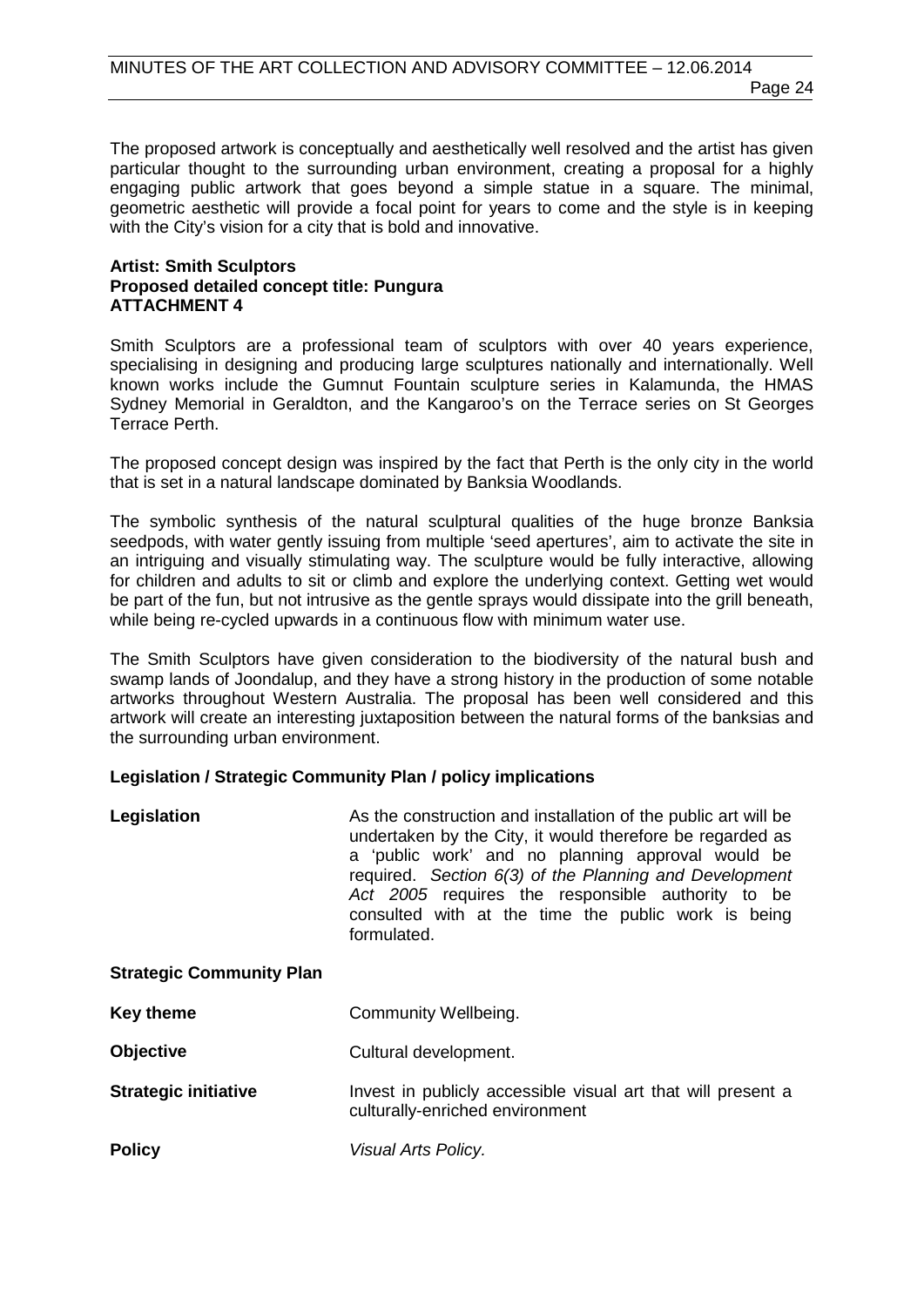Page 24

The proposed artwork is conceptually and aesthetically well resolved and the artist has given particular thought to the surrounding urban environment, creating a proposal for a highly engaging public artwork that goes beyond a simple statue in a square. The minimal, geometric aesthetic will provide a focal point for years to come and the style is in keeping with the City's vision for a city that is bold and innovative.

#### **Artist: Smith Sculptors Proposed detailed concept title: Pungura ATTACHMENT 4**

Smith Sculptors are a professional team of sculptors with over 40 years experience, specialising in designing and producing large sculptures nationally and internationally. Well known works include the Gumnut Fountain sculpture series in Kalamunda, the HMAS Sydney Memorial in Geraldton, and the Kangaroo's on the Terrace series on St Georges Terrace Perth.

The proposed concept design was inspired by the fact that Perth is the only city in the world that is set in a natural landscape dominated by Banksia Woodlands.

The symbolic synthesis of the natural sculptural qualities of the huge bronze Banksia seedpods, with water gently issuing from multiple 'seed apertures', aim to activate the site in an intriguing and visually stimulating way. The sculpture would be fully interactive, allowing for children and adults to sit or climb and explore the underlying context. Getting wet would be part of the fun, but not intrusive as the gentle sprays would dissipate into the grill beneath, while being re-cycled upwards in a continuous flow with minimum water use.

The Smith Sculptors have given consideration to the biodiversity of the natural bush and swamp lands of Joondalup, and they have a strong history in the production of some notable artworks throughout Western Australia. The proposal has been well considered and this artwork will create an interesting juxtaposition between the natural forms of the banksias and the surrounding urban environment.

#### **Legislation / Strategic Community Plan / policy implications**

| Legislation                     | As the construction and installation of the public art will be<br>undertaken by the City, it would therefore be regarded as<br>a 'public work' and no planning approval would be<br>required. Section 6(3) of the Planning and Development<br>Act 2005 requires the responsible authority to be<br>consulted with at the time the public work is being<br>formulated. |
|---------------------------------|-----------------------------------------------------------------------------------------------------------------------------------------------------------------------------------------------------------------------------------------------------------------------------------------------------------------------------------------------------------------------|
| <b>Strategic Community Plan</b> |                                                                                                                                                                                                                                                                                                                                                                       |
| <b>Key theme</b>                | Community Wellbeing.                                                                                                                                                                                                                                                                                                                                                  |
| <b>Objective</b>                | Cultural development.                                                                                                                                                                                                                                                                                                                                                 |
| <b>Strategic initiative</b>     | Invest in publicly accessible visual art that will present a<br>culturally-enriched environment                                                                                                                                                                                                                                                                       |
| <b>Policy</b>                   | Visual Arts Policy.                                                                                                                                                                                                                                                                                                                                                   |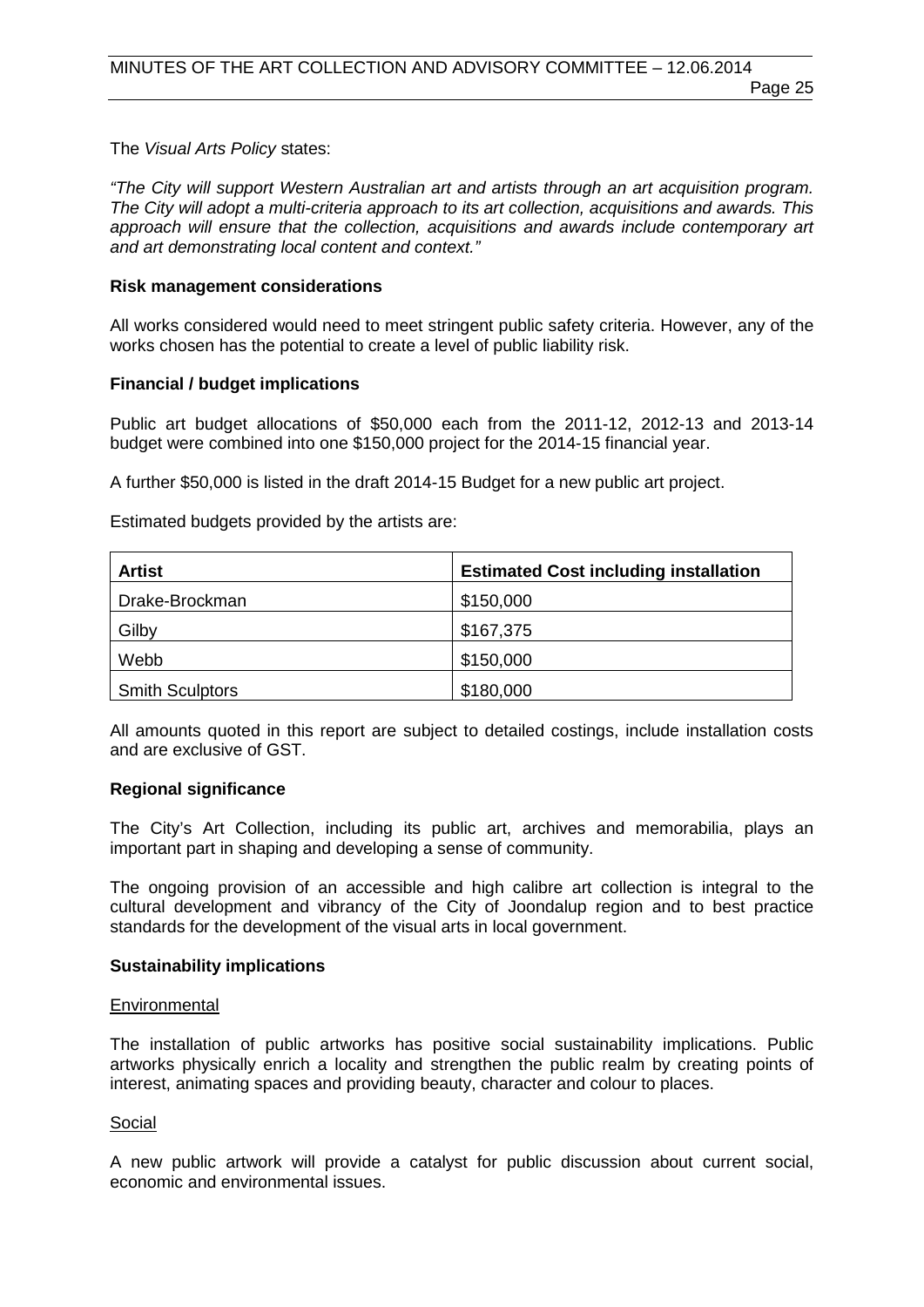Page 25

The *Visual Arts Policy* states:

*"The City will support Western Australian art and artists through an art acquisition program. The City will adopt a multi-criteria approach to its art collection, acquisitions and awards. This approach will ensure that the collection, acquisitions and awards include contemporary art and art demonstrating local content and context."*

#### **Risk management considerations**

All works considered would need to meet stringent public safety criteria. However, any of the works chosen has the potential to create a level of public liability risk.

#### **Financial / budget implications**

Public art budget allocations of \$50,000 each from the 2011-12, 2012-13 and 2013-14 budget were combined into one \$150,000 project for the 2014-15 financial year.

A further \$50,000 is listed in the draft 2014-15 Budget for a new public art project.

Estimated budgets provided by the artists are:

| <b>Artist</b>          | <b>Estimated Cost including installation</b> |
|------------------------|----------------------------------------------|
| Drake-Brockman         | \$150,000                                    |
| Gilby                  | \$167,375                                    |
| Webb                   | \$150,000                                    |
| <b>Smith Sculptors</b> | \$180,000                                    |

All amounts quoted in this report are subject to detailed costings, include installation costs and are exclusive of GST.

#### **Regional significance**

The City's Art Collection, including its public art, archives and memorabilia, plays an important part in shaping and developing a sense of community.

The ongoing provision of an accessible and high calibre art collection is integral to the cultural development and vibrancy of the City of Joondalup region and to best practice standards for the development of the visual arts in local government.

#### **Sustainability implications**

#### Environmental

The installation of public artworks has positive social sustainability implications. Public artworks physically enrich a locality and strengthen the public realm by creating points of interest, animating spaces and providing beauty, character and colour to places.

#### Social

A new public artwork will provide a catalyst for public discussion about current social, economic and environmental issues.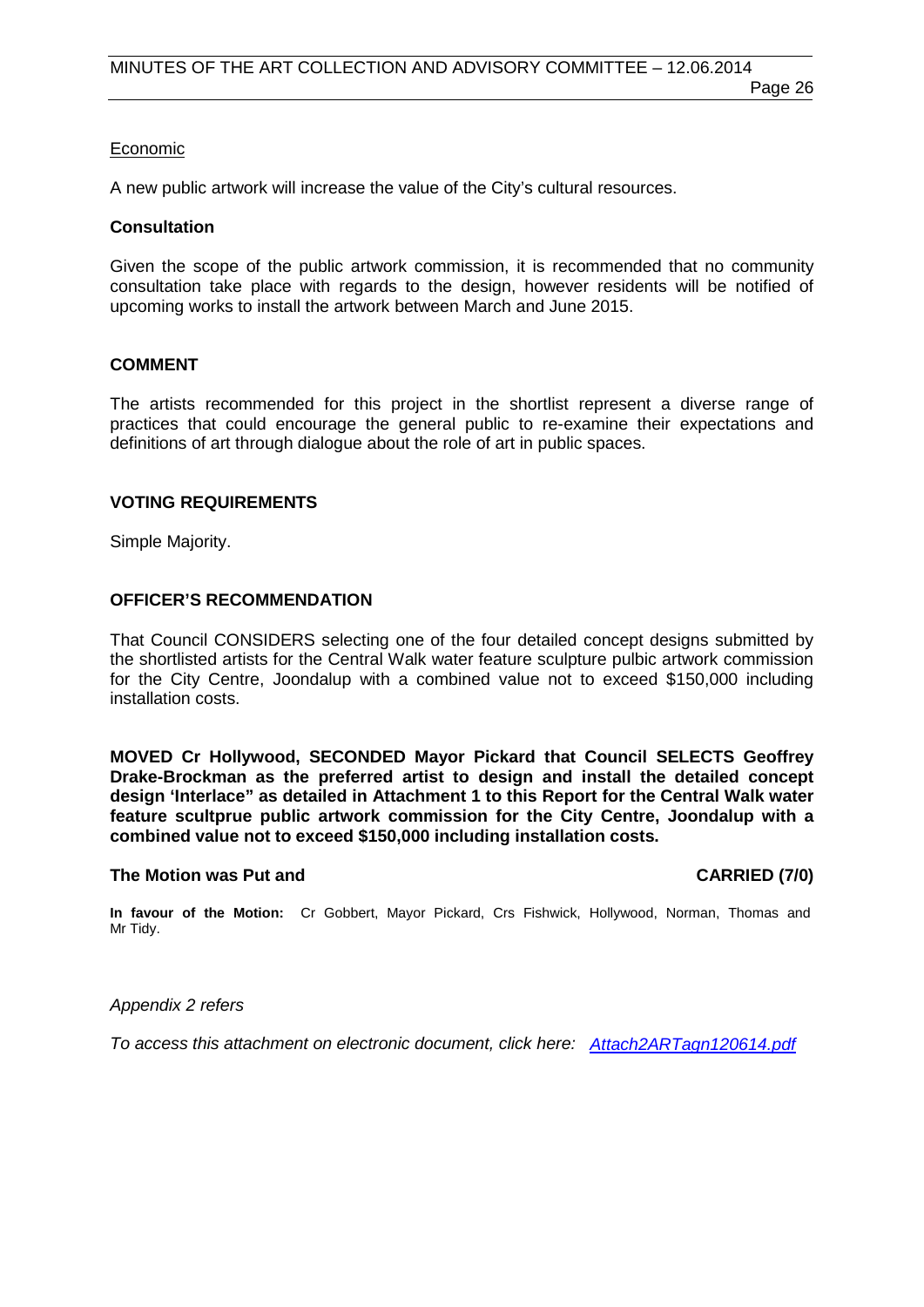#### Economic

A new public artwork will increase the value of the City's cultural resources.

#### **Consultation**

Given the scope of the public artwork commission, it is recommended that no community consultation take place with regards to the design, however residents will be notified of upcoming works to install the artwork between March and June 2015.

#### **COMMENT**

The artists recommended for this project in the shortlist represent a diverse range of practices that could encourage the general public to re-examine their expectations and definitions of art through dialogue about the role of art in public spaces.

#### **VOTING REQUIREMENTS**

Simple Majority.

#### **OFFICER'S RECOMMENDATION**

That Council CONSIDERS selecting one of the four detailed concept designs submitted by the shortlisted artists for the Central Walk water feature sculpture pulbic artwork commission for the City Centre, Joondalup with a combined value not to exceed \$150,000 including installation costs.

**MOVED Cr Hollywood, SECONDED Mayor Pickard that Council SELECTS Geoffrey Drake-Brockman as the preferred artist to design and install the detailed concept design 'Interlace" as detailed in Attachment 1 to this Report for the Central Walk water feature scultprue public artwork commission for the City Centre, Joondalup with a combined value not to exceed \$150,000 including installation costs.**

#### **The Motion was Put and CARRIED (7/0)**

**In favour of the Motion:** Cr Gobbert, Mayor Pickard, Crs Fishwick, Hollywood, Norman, Thomas and Mr Tidy.

*Appendix 2 refers*

*[To access this attachment on electronic document, click here: Attach2ARTagn120614.pdf](http://www.joondalup.wa.gov.au/files/committees/ACAC/2014/Attach2ARTagn120614.pdf)*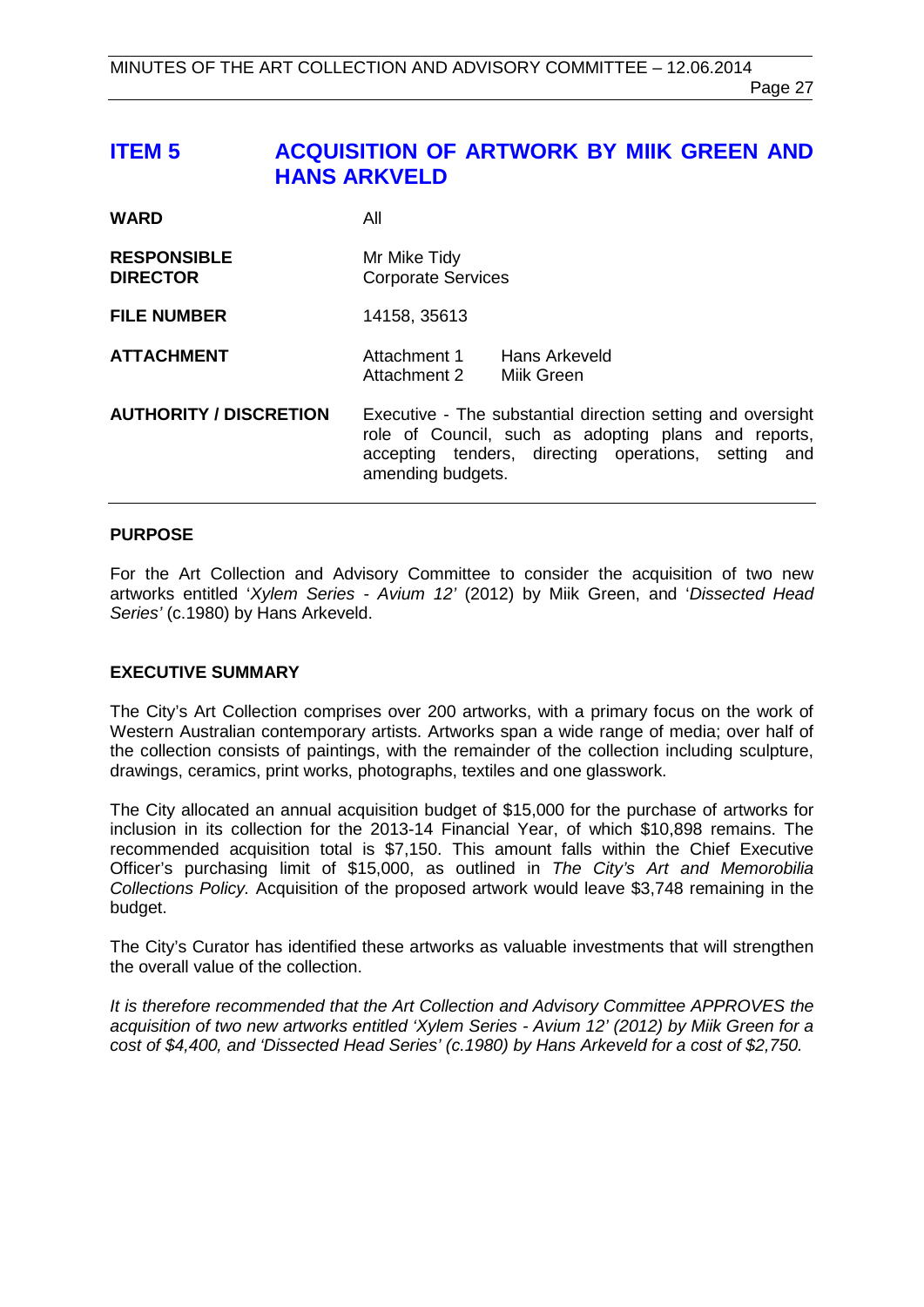# <span id="page-26-0"></span>**ITEM 5 ACQUISITION OF ARTWORK BY MIIK GREEN AND HANS ARKVELD**

| <b>WARD</b>                           | All                                                                                                                                                                                              |
|---------------------------------------|--------------------------------------------------------------------------------------------------------------------------------------------------------------------------------------------------|
| <b>RESPONSIBLE</b><br><b>DIRECTOR</b> | Mr Mike Tidy<br><b>Corporate Services</b>                                                                                                                                                        |
| <b>FILE NUMBER</b>                    | 14158, 35613                                                                                                                                                                                     |
| <b>ATTACHMENT</b>                     | Hans Arkeveld<br>Attachment 1<br>Attachment 2 Milk Green                                                                                                                                         |
| <b>AUTHORITY / DISCRETION</b>         | Executive - The substantial direction setting and oversight<br>role of Council, such as adopting plans and reports,<br>accepting tenders, directing operations, setting and<br>amending budgets. |

#### **PURPOSE**

For the Art Collection and Advisory Committee to consider the acquisition of two new artworks entitled '*Xylem Series - Avium 12'* (2012) by Miik Green, and '*Dissected Head Series'* (c.1980) by Hans Arkeveld.

#### **EXECUTIVE SUMMARY**

The City's Art Collection comprises over 200 artworks, with a primary focus on the work of Western Australian contemporary artists. Artworks span a wide range of media; over half of the collection consists of paintings, with the remainder of the collection including sculpture, drawings, ceramics, print works, photographs, textiles and one glasswork.

The City allocated an annual acquisition budget of \$15,000 for the purchase of artworks for inclusion in its collection for the 2013-14 Financial Year, of which \$10,898 remains. The recommended acquisition total is \$7,150. This amount falls within the Chief Executive Officer's purchasing limit of \$15,000, as outlined in *The City's Art and Memorobilia Collections Policy.* Acquisition of the proposed artwork would leave \$3,748 remaining in the budget.

The City's Curator has identified these artworks as valuable investments that will strengthen the overall value of the collection.

*It is therefore recommended that the Art Collection and Advisory Committee APPROVES the acquisition of two new artworks entitled 'Xylem Series - Avium 12' (2012) by Miik Green for a cost of \$4,400, and 'Dissected Head Series' (c.1980) by Hans Arkeveld for a cost of \$2,750.*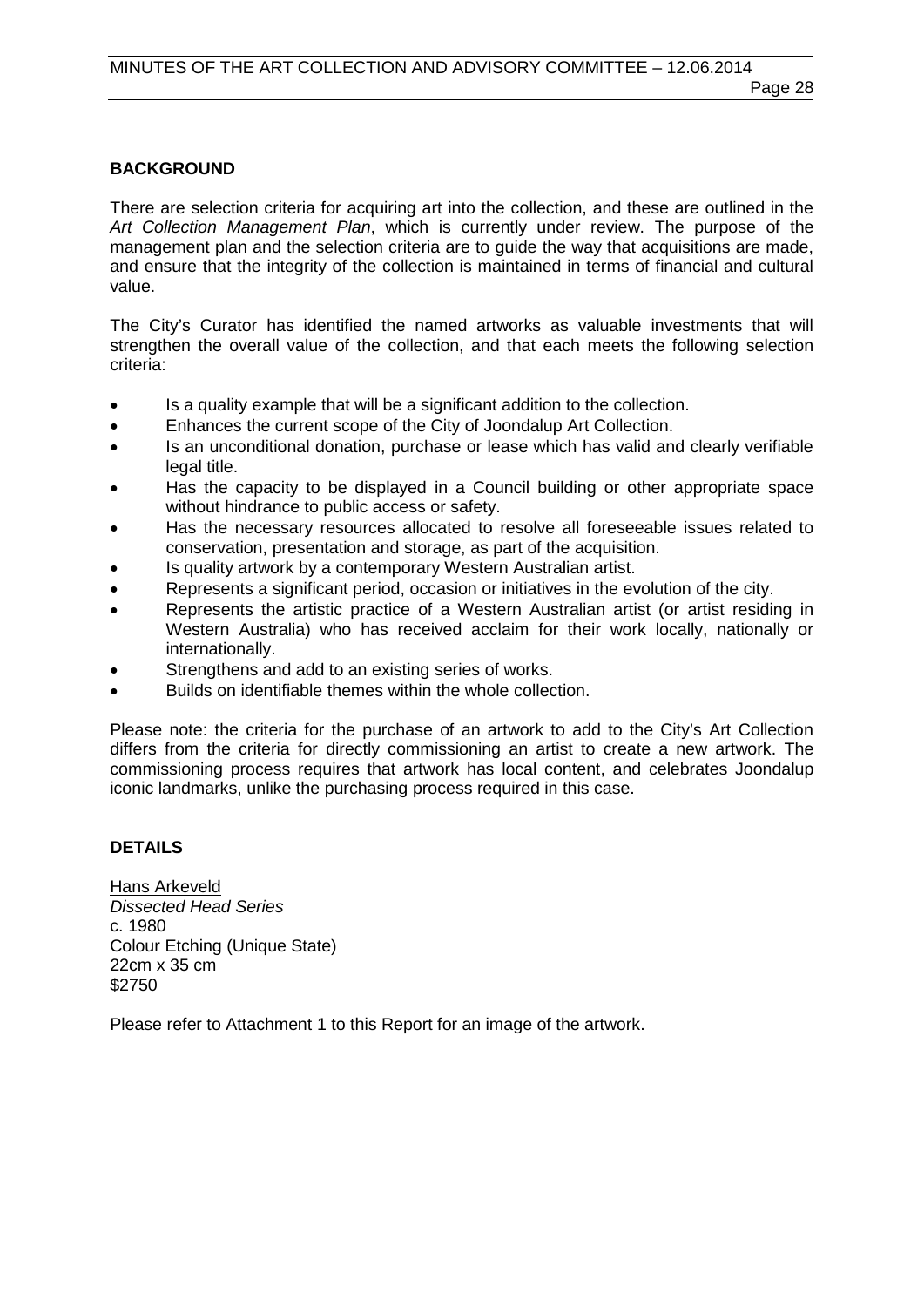#### **BACKGROUND**

There are selection criteria for acquiring art into the collection, and these are outlined in the *Art Collection Management Plan*, which is currently under review. The purpose of the management plan and the selection criteria are to guide the way that acquisitions are made, and ensure that the integrity of the collection is maintained in terms of financial and cultural value.

The City's Curator has identified the named artworks as valuable investments that will strengthen the overall value of the collection, and that each meets the following selection criteria:

- Is a quality example that will be a significant addition to the collection.
- Enhances the current scope of the City of Joondalup Art Collection.
- Is an unconditional donation, purchase or lease which has valid and clearly verifiable legal title.
- Has the capacity to be displayed in a Council building or other appropriate space without hindrance to public access or safety.
- Has the necessary resources allocated to resolve all foreseeable issues related to conservation, presentation and storage, as part of the acquisition.
- Is quality artwork by a contemporary Western Australian artist.
- Represents a significant period, occasion or initiatives in the evolution of the city.
- Represents the artistic practice of a Western Australian artist (or artist residing in Western Australia) who has received acclaim for their work locally, nationally or internationally.
- Strengthens and add to an existing series of works.
- Builds on identifiable themes within the whole collection.

Please note: the criteria for the purchase of an artwork to add to the City's Art Collection differs from the criteria for directly commissioning an artist to create a new artwork. The commissioning process requires that artwork has local content, and celebrates Joondalup iconic landmarks, unlike the purchasing process required in this case.

#### **DETAILS**

Hans Arkeveld *Dissected Head Series* c. 1980 Colour Etching (Unique State) 22cm x 35 cm \$2750

Please refer to Attachment 1 to this Report for an image of the artwork.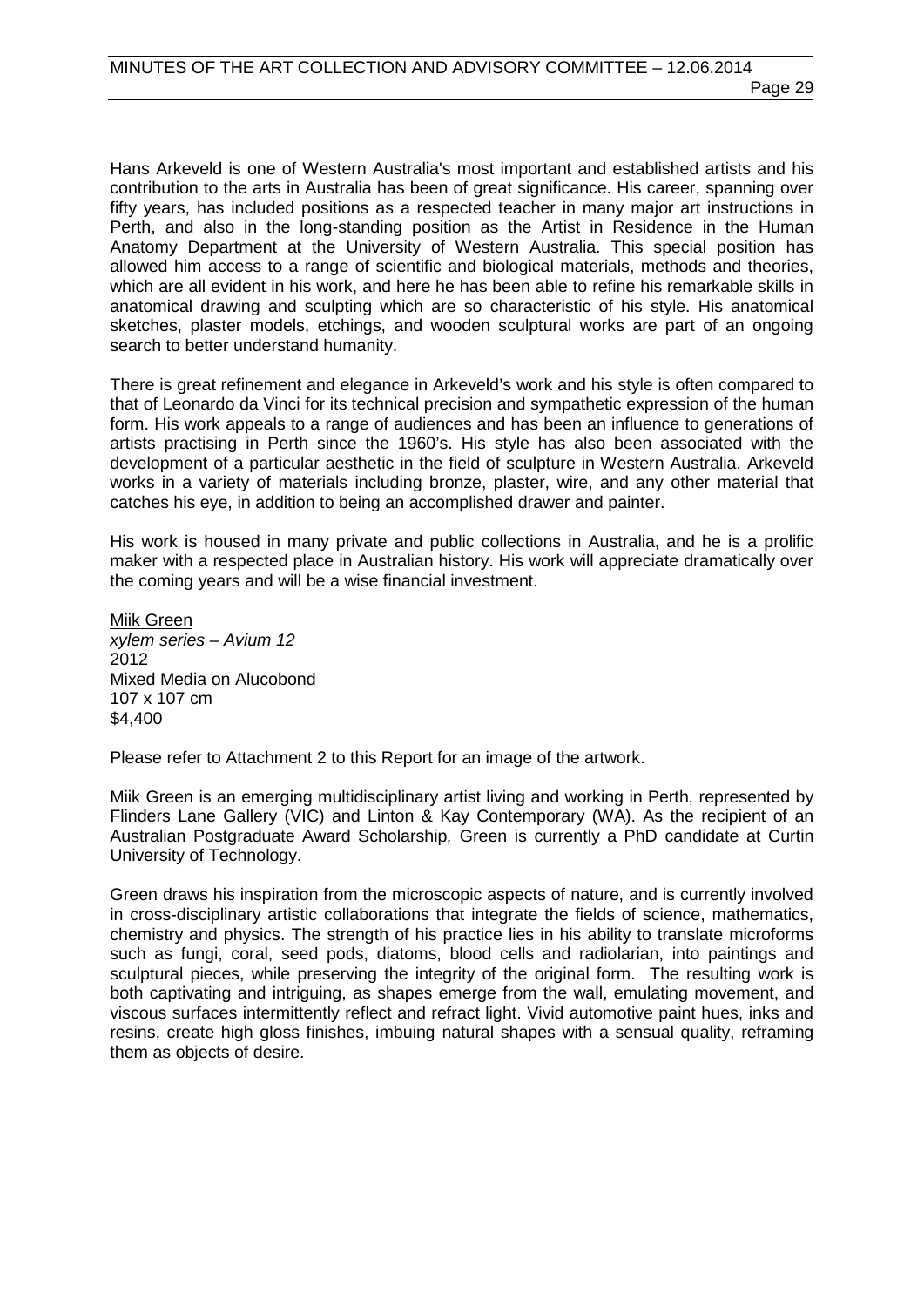Hans Arkeveld is one of Western Australia's most important and established artists and his contribution to the arts in Australia has been of great significance. His career, spanning over fifty years, has included positions as a respected teacher in many major art instructions in Perth, and also in the long-standing position as the Artist in Residence in the Human Anatomy Department at the University of Western Australia. This special position has allowed him access to a range of scientific and biological materials, methods and theories, which are all evident in his work, and here he has been able to refine his remarkable skills in anatomical drawing and sculpting which are so characteristic of his style. His anatomical sketches, plaster models, etchings, and wooden sculptural works are part of an ongoing search to better understand humanity.

There is great refinement and elegance in Arkeveld's work and his style is often compared to that of Leonardo da Vinci for its technical precision and sympathetic expression of the human form. His work appeals to a range of audiences and has been an influence to generations of artists practising in Perth since the 1960's. His style has also been associated with the development of a particular aesthetic in the field of sculpture in Western Australia. Arkeveld works in a variety of materials including bronze, plaster, wire, and any other material that catches his eye, in addition to being an accomplished drawer and painter.

His work is housed in many private and public collections in Australia, and he is a prolific maker with a respected place in Australian history. His work will appreciate dramatically over the coming years and will be a wise financial investment.

Miik Green *xylem series – Avium 12* 2012 Mixed Media on Alucobond 107 x 107 cm \$4,400

Please refer to Attachment 2 to this Report for an image of the artwork.

Miik Green is an emerging multidisciplinary artist living and working in Perth, represented by Flinders Lane Gallery (VIC) and Linton & Kay Contemporary (WA). As the recipient of an Australian Postgraduate Award Scholarship*,* Green is currently a PhD candidate at Curtin University of Technology.

Green draws his inspiration from the microscopic aspects of nature, and is currently involved in cross-disciplinary artistic collaborations that integrate the fields of science, mathematics, chemistry and physics. The strength of his practice lies in his ability to translate microforms such as fungi, coral, seed pods, diatoms, blood cells and radiolarian, into paintings and sculptural pieces, while preserving the integrity of the original form. The resulting work is both captivating and intriguing, as shapes emerge from the wall, emulating movement, and viscous surfaces intermittently reflect and refract light. Vivid automotive paint hues, inks and resins, create high gloss finishes, imbuing natural shapes with a sensual quality, reframing them as objects of desire.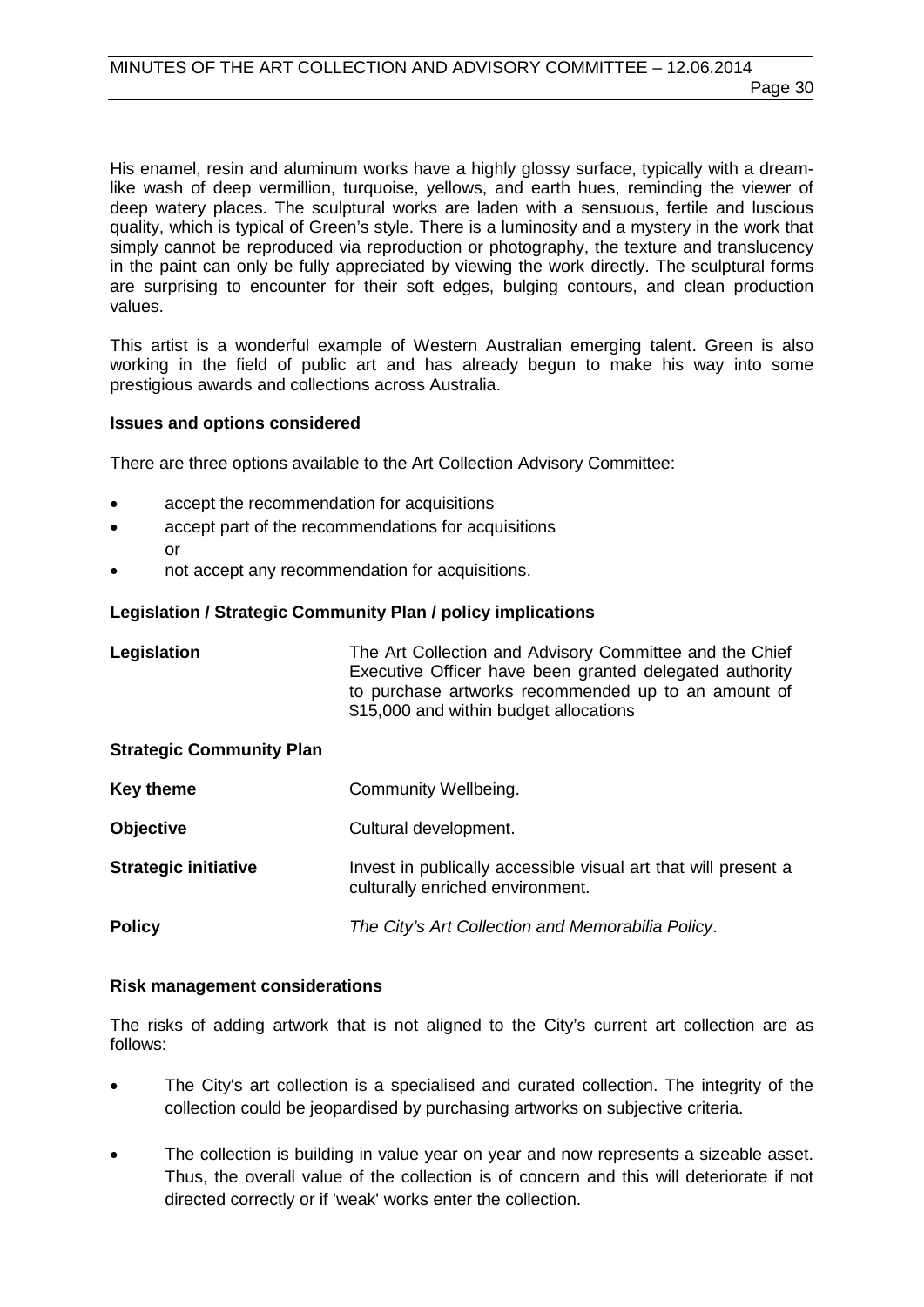His enamel, resin and aluminum works have a highly glossy surface, typically with a dreamlike wash of deep vermillion, turquoise, yellows, and earth hues, reminding the viewer of deep watery places. The sculptural works are laden with a sensuous, fertile and luscious quality, which is typical of Green's style. There is a luminosity and a mystery in the work that simply cannot be reproduced via reproduction or photography, the texture and translucency in the paint can only be fully appreciated by viewing the work directly. The sculptural forms are surprising to encounter for their soft edges, bulging contours, and clean production values.

This artist is a wonderful example of Western Australian emerging talent. Green is also working in the field of public art and has already begun to make his way into some prestigious awards and collections across Australia.

#### **Issues and options considered**

There are three options available to the Art Collection Advisory Committee:

- accept the recommendation for acquisitions
- accept part of the recommendations for acquisitions or
- not accept any recommendation for acquisitions.

#### **Legislation / Strategic Community Plan / policy implications**

| Legislation                     | The Art Collection and Advisory Committee and the Chief<br>Executive Officer have been granted delegated authority<br>to purchase artworks recommended up to an amount of<br>\$15,000 and within budget allocations |
|---------------------------------|---------------------------------------------------------------------------------------------------------------------------------------------------------------------------------------------------------------------|
| <b>Strategic Community Plan</b> |                                                                                                                                                                                                                     |
| <b>Key theme</b>                | Community Wellbeing.                                                                                                                                                                                                |
| <b>Objective</b>                | Cultural development.                                                                                                                                                                                               |
| <b>Strategic initiative</b>     | Invest in publically accessible visual art that will present a<br>culturally enriched environment.                                                                                                                  |
| <b>Policy</b>                   | The City's Art Collection and Memorabilia Policy.                                                                                                                                                                   |

#### **Risk management considerations**

The risks of adding artwork that is not aligned to the City's current art collection are as follows:

- The City's art collection is a specialised and curated collection. The integrity of the collection could be jeopardised by purchasing artworks on subjective criteria.
- The collection is building in value year on year and now represents a sizeable asset. Thus, the overall value of the collection is of concern and this will deteriorate if not directed correctly or if 'weak' works enter the collection.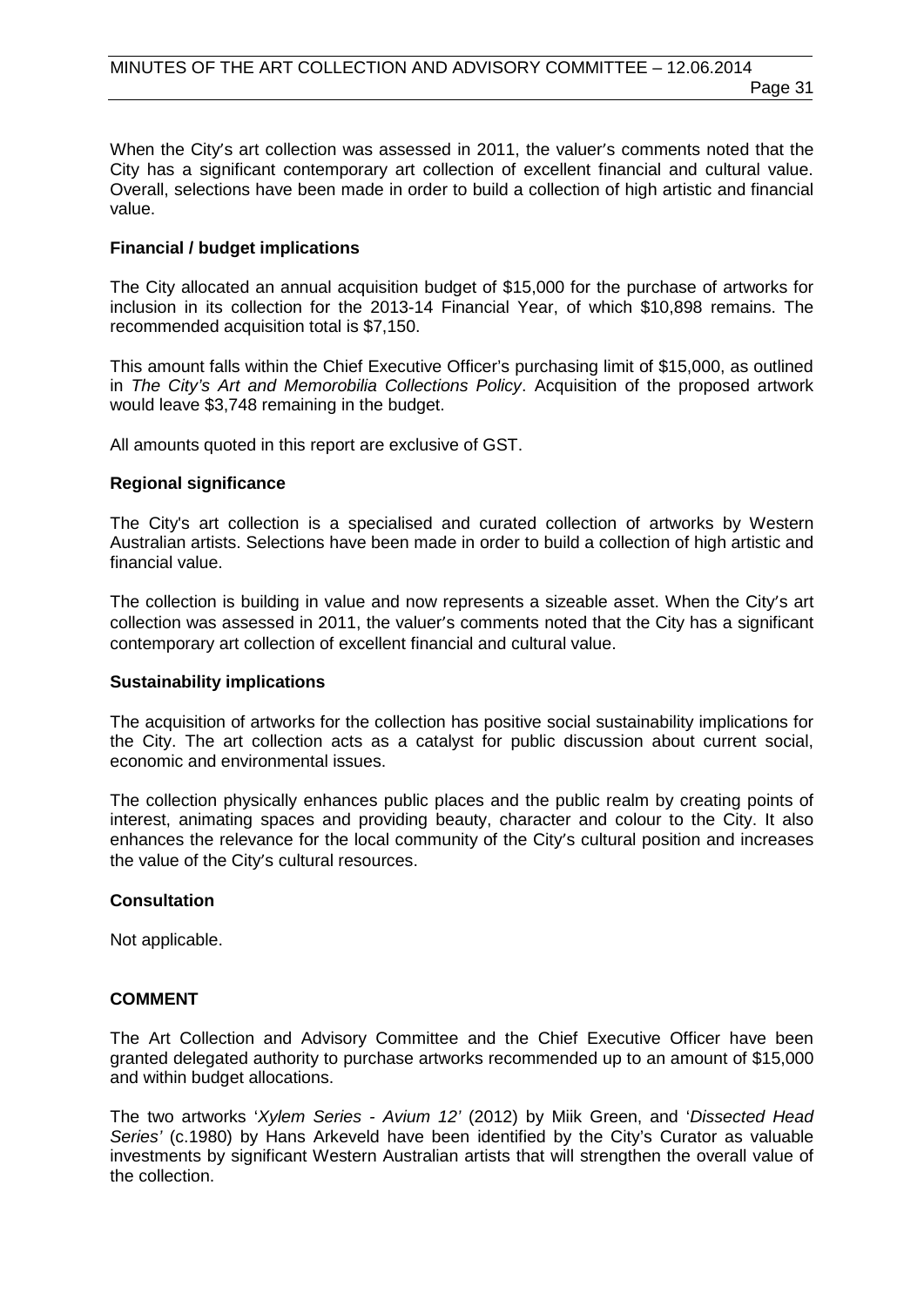When the City's art collection was assessed in 2011, the valuer's comments noted that the City has a significant contemporary art collection of excellent financial and cultural value. Overall, selections have been made in order to build a collection of high artistic and financial value.

#### **Financial / budget implications**

The City allocated an annual acquisition budget of \$15,000 for the purchase of artworks for inclusion in its collection for the 2013-14 Financial Year, of which \$10,898 remains. The recommended acquisition total is \$7,150.

This amount falls within the Chief Executive Officer's purchasing limit of \$15,000, as outlined in *The City's Art and Memorobilia Collections Policy*. Acquisition of the proposed artwork would leave \$3,748 remaining in the budget.

All amounts quoted in this report are exclusive of GST.

#### **Regional significance**

The City's art collection is a specialised and curated collection of artworks by Western Australian artists. Selections have been made in order to build a collection of high artistic and financial value.

The collection is building in value and now represents a sizeable asset. When the City's art collection was assessed in 2011, the valuer's comments noted that the City has a significant contemporary art collection of excellent financial and cultural value.

#### **Sustainability implications**

The acquisition of artworks for the collection has positive social sustainability implications for the City. The art collection acts as a catalyst for public discussion about current social, economic and environmental issues.

The collection physically enhances public places and the public realm by creating points of interest, animating spaces and providing beauty, character and colour to the City. It also enhances the relevance for the local community of the City's cultural position and increases the value of the City's cultural resources.

#### **Consultation**

Not applicable.

#### **COMMENT**

The Art Collection and Advisory Committee and the Chief Executive Officer have been granted delegated authority to purchase artworks recommended up to an amount of \$15,000 and within budget allocations.

The two artworks '*Xylem Series - Avium 12'* (2012) by Miik Green, and '*Dissected Head Series'* (c.1980) by Hans Arkeveld have been identified by the City's Curator as valuable investments by significant Western Australian artists that will strengthen the overall value of the collection.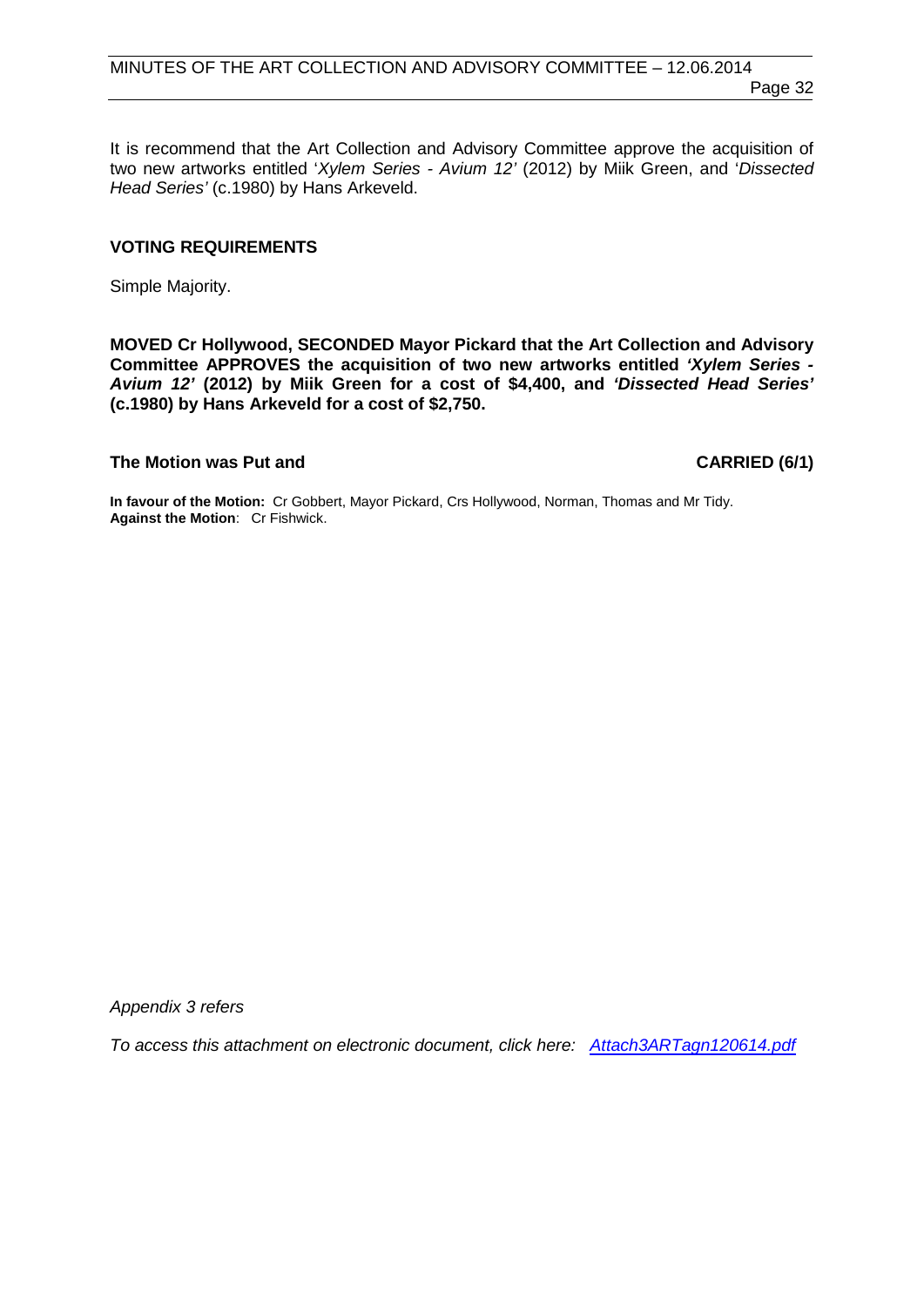It is recommend that the Art Collection and Advisory Committee approve the acquisition of two new artworks entitled '*Xylem Series - Avium 12'* (2012) by Miik Green, and '*Dissected Head Series'* (c.1980) by Hans Arkeveld.

#### **VOTING REQUIREMENTS**

Simple Majority.

**MOVED Cr Hollywood, SECONDED Mayor Pickard that the Art Collection and Advisory Committee APPROVES the acquisition of two new artworks entitled** *'Xylem Series - Avium 12'* **(2012) by Miik Green for a cost of \$4,400, and** *'Dissected Head Series'*  **(c.1980) by Hans Arkeveld for a cost of \$2,750.**

#### The Motion was Put and **CARRIED (6/1)**

**In favour of the Motion:** Cr Gobbert, Mayor Pickard, Crs Hollywood, Norman, Thomas and Mr Tidy. **Against the Motion**: Cr Fishwick.

*Appendix 3 refers*

*[To access this attachment on electronic document, click here: Attach3ARTagn120614.pdf](http://www.joondalup.wa.gov.au/files/committees/ACAC/2014/Attach3ARTagn120614.pdf)*